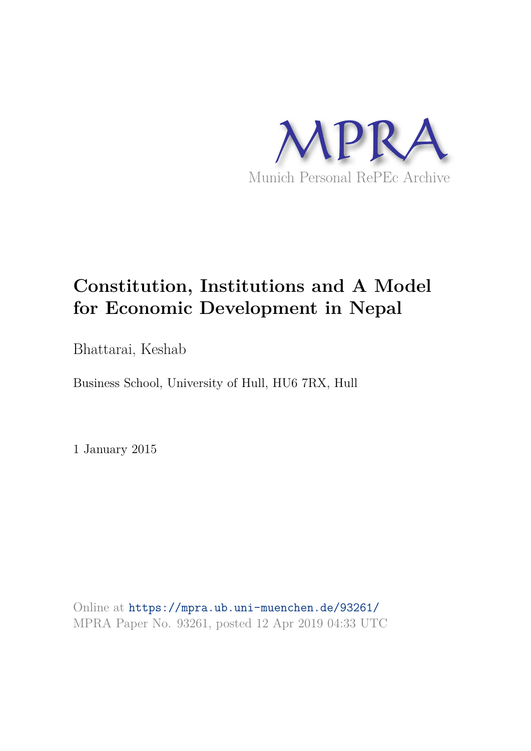

# **Constitution, Institutions and A Model for Economic Development in Nepal**

Bhattarai, Keshab

Business School, University of Hull, HU6 7RX, Hull

1 January 2015

Online at https://mpra.ub.uni-muenchen.de/93261/ MPRA Paper No. 93261, posted 12 Apr 2019 04:33 UTC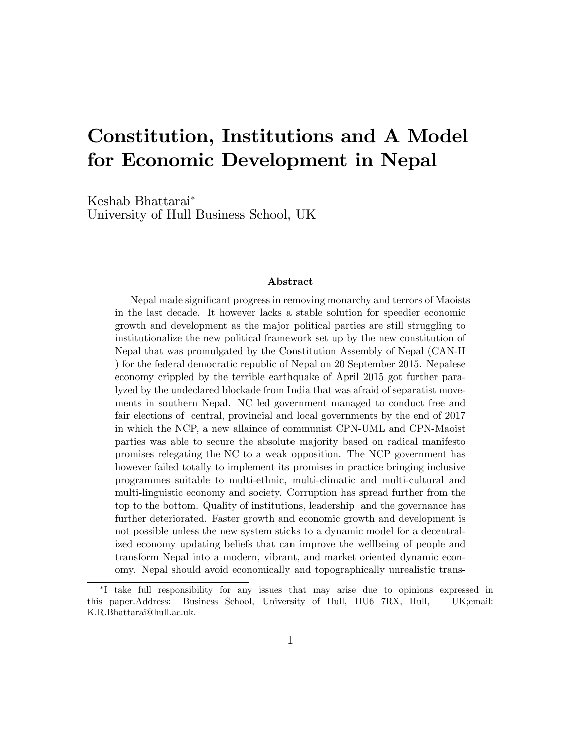# Constitution, Institutions and A Model for Economic Development in Nepal

Keshab Bhattarai University of Hull Business School, UK

#### Abstract

Nepal made significant progress in removing monarchy and terrors of Maoists in the last decade. It however lacks a stable solution for speedier economic growth and development as the major political parties are still struggling to institutionalize the new political framework set up by the new constitution of Nepal that was promulgated by the Constitution Assembly of Nepal (CAN-II ) for the federal democratic republic of Nepal on 20 September 2015. Nepalese economy crippled by the terrible earthquake of April 2015 got further paralyzed by the undeclared blockade from India that was afraid of separatist movements in southern Nepal. NC led government managed to conduct free and fair elections of central, provincial and local governments by the end of 2017 in which the NCP, a new allaince of communist CPN-UML and CPN-Maoist parties was able to secure the absolute majority based on radical manifesto promises relegating the NC to a weak opposition. The NCP government has however failed totally to implement its promises in practice bringing inclusive programmes suitable to multi-ethnic, multi-climatic and multi-cultural and multi-linguistic economy and society. Corruption has spread further from the top to the bottom. Quality of institutions, leadership and the governance has further deteriorated. Faster growth and economic growth and development is not possible unless the new system sticks to a dynamic model for a decentralized economy updating beliefs that can improve the wellbeing of people and transform Nepal into a modern, vibrant, and market oriented dynamic economy. Nepal should avoid economically and topographically unrealistic trans-

I take full responsibility for any issues that may arise due to opinions expressed in this paper.Address: Business School, University of Hull, HU6 7RX, Hull, UK;email: K.R.Bhattarai@hull.ac.uk.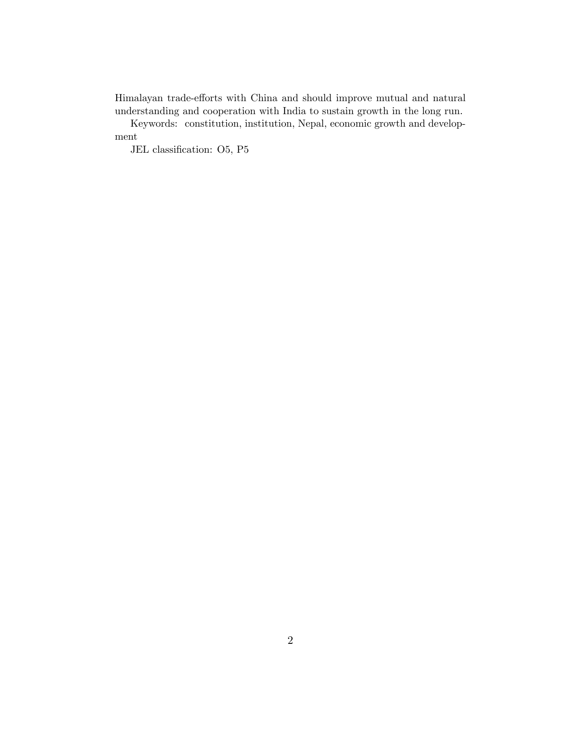Himalayan trade-efforts with China and should improve mutual and natural understanding and cooperation with India to sustain growth in the long run.

Keywords: constitution, institution, Nepal, economic growth and development

JEL classification: O5, P5  $\,$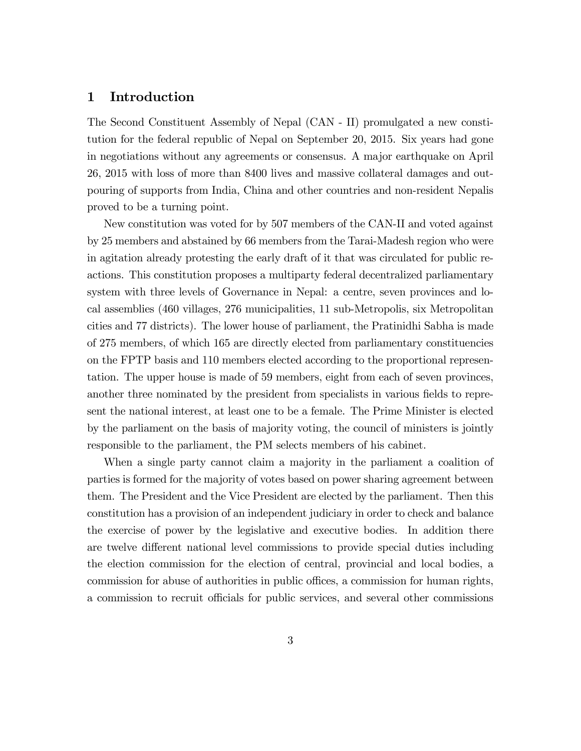## 1 Introduction

The Second Constituent Assembly of Nepal (CAN - II) promulgated a new constitution for the federal republic of Nepal on September 20, 2015. Six years had gone in negotiations without any agreements or consensus. A major earthquake on April 26, 2015 with loss of more than 8400 lives and massive collateral damages and outpouring of supports from India, China and other countries and non-resident Nepalis proved to be a turning point.

New constitution was voted for by 507 members of the CAN-II and voted against by 25 members and abstained by 66 members from the Tarai-Madesh region who were in agitation already protesting the early draft of it that was circulated for public reactions. This constitution proposes a multiparty federal decentralized parliamentary system with three levels of Governance in Nepal: a centre, seven provinces and local assemblies (460 villages, 276 municipalities, 11 sub-Metropolis, six Metropolitan cities and 77 districts). The lower house of parliament, the Pratinidhi Sabha is made of 275 members, of which 165 are directly elected from parliamentary constituencies on the FPTP basis and 110 members elected according to the proportional representation. The upper house is made of 59 members, eight from each of seven provinces, another three nominated by the president from specialists in various fields to represent the national interest, at least one to be a female. The Prime Minister is elected by the parliament on the basis of majority voting, the council of ministers is jointly responsible to the parliament, the PM selects members of his cabinet.

When a single party cannot claim a majority in the parliament a coalition of parties is formed for the majority of votes based on power sharing agreement between them. The President and the Vice President are elected by the parliament. Then this constitution has a provision of an independent judiciary in order to check and balance the exercise of power by the legislative and executive bodies. In addition there are twelve different national level commissions to provide special duties including the election commission for the election of central, provincial and local bodies, a commission for abuse of authorities in public offices, a commission for human rights, a commission to recruit officials for public services, and several other commissions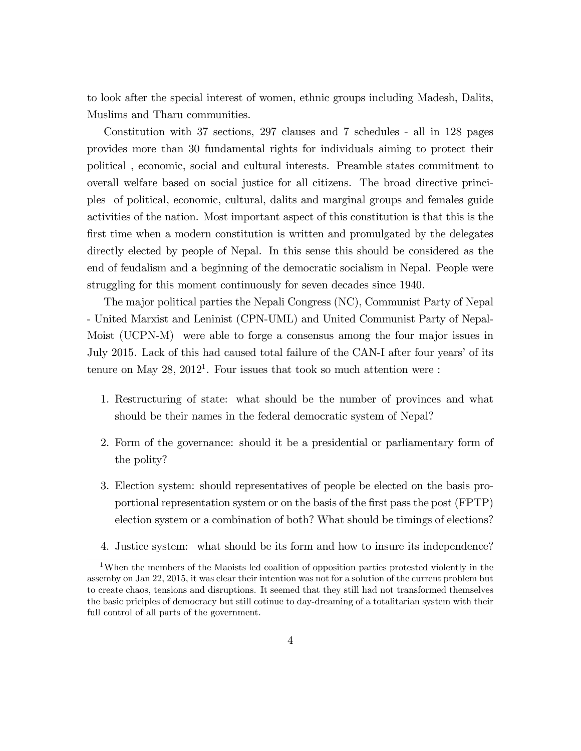to look after the special interest of women, ethnic groups including Madesh, Dalits, Muslims and Tharu communities.

Constitution with 37 sections, 297 clauses and 7 schedules - all in 128 pages provides more than 30 fundamental rights for individuals aiming to protect their political , economic, social and cultural interests. Preamble states commitment to overall welfare based on social justice for all citizens. The broad directive principles of political, economic, cultural, dalits and marginal groups and females guide activities of the nation. Most important aspect of this constitution is that this is the first time when a modern constitution is written and promulgated by the delegates directly elected by people of Nepal. In this sense this should be considered as the end of feudalism and a beginning of the democratic socialism in Nepal. People were struggling for this moment continuously for seven decades since 1940.

The major political parties the Nepali Congress (NC), Communist Party of Nepal - United Marxist and Leninist (CPN-UML) and United Communist Party of Nepal-Moist (UCPN-M) were able to forge a consensus among the four major issues in July 2015. Lack of this had caused total failure of the CAN-I after four years' of its tenure on May  $28$ ,  $2012<sup>1</sup>$ . Four issues that took so much attention were :

- 1. Restructuring of state: what should be the number of provinces and what should be their names in the federal democratic system of Nepal?
- 2. Form of the governance: should it be a presidential or parliamentary form of the polity?
- 3. Election system: should representatives of people be elected on the basis proportional representation system or on the basis of the first pass the post (FPTP) election system or a combination of both? What should be timings of elections?
- 4. Justice system: what should be its form and how to insure its independence?

<sup>&</sup>lt;sup>1</sup>When the members of the Maoists led coalition of opposition parties protested violently in the assemby on Jan 22, 2015, it was clear their intention was not for a solution of the current problem but to create chaos, tensions and disruptions. It seemed that they still had not transformed themselves the basic priciples of democracy but still cotinue to day-dreaming of a totalitarian system with their full control of all parts of the government.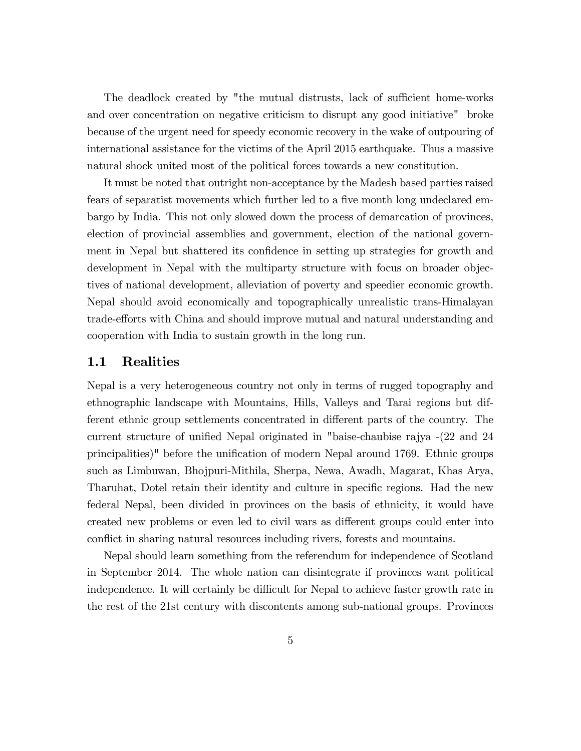The deadlock created by "the mutual distrusts, lack of sufficient home-works and over concentration on negative criticism to disrupt any good initiative" broke because of the urgent need for speedy economic recovery in the wake of outpouring of international assistance for the victims of the April 2015 earthquake. Thus a massive natural shock united most of the political forces towards a new constitution.

It must be noted that outright non-acceptance by the Madesh based parties raised fears of separatist movements which further led to a five month long undeclared embargo by India. This not only slowed down the process of demarcation of provinces, election of provincial assemblies and government, election of the national government in Nepal but shattered its confidence in setting up strategies for growth and development in Nepal with the multiparty structure with focus on broader objectives of national development, alleviation of poverty and speedier economic growth. Nepal should avoid economically and topographically unrealistic trans-Himalayan trade-efforts with China and should improve mutual and natural understanding and cooperation with India to sustain growth in the long run.

## 1.1 Realities

Nepal is a very heterogeneous country not only in terms of rugged topography and ethnographic landscape with Mountains, Hills, Valleys and Tarai regions but different ethnic group settlements concentrated in different parts of the country. The current structure of unified Nepal originated in "baise-chaubise rajya  $-(22 \text{ and } 24 \text{)}$ principalities)" before the unification of modern Nepal around 1769. Ethnic groups such as Limbuwan, Bhojpuri-Mithila, Sherpa, Newa, Awadh, Magarat, Khas Arya, Tharuhat, Dotel retain their identity and culture in specific regions. Had the new federal Nepal, been divided in provinces on the basis of ethnicity, it would have created new problems or even led to civil wars as different groups could enter into conflict in sharing natural resources including rivers, forests and mountains.

Nepal should learn something from the referendum for independence of Scotland in September 2014. The whole nation can disintegrate if provinces want political independence. It will certainly be difficult for Nepal to achieve faster growth rate in the rest of the 21st century with discontents among sub-national groups. Provinces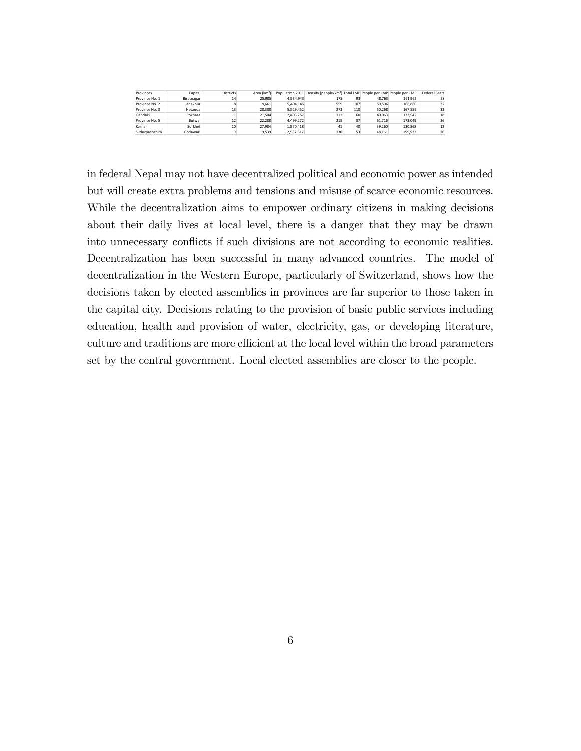| Provinces      | Capital    | <b>Districts</b> | Area (km <sup>2</sup> ) |           | Population 2011 Density (people/km <sup>2</sup> ) Total LMP People per LMP People per CMP |     |        |         | <b>Federal Seats</b> |
|----------------|------------|------------------|-------------------------|-----------|-------------------------------------------------------------------------------------------|-----|--------|---------|----------------------|
| Province No. 1 | Biratnagar | 14               | 25.905                  | 4.534.943 | 175                                                                                       | 93  | 48.763 | 161.962 | 28                   |
| Province No. 2 | Janakour   |                  | 9.661                   | 5.404.145 | 559                                                                                       | 107 | 50.506 | 168,880 | 32                   |
| Province No. 3 | Hetauda    | 13               | 20.300                  | 5.529.452 | 272                                                                                       | 110 | 50.268 | 167.559 | 33                   |
| Gandaki        | Pokhara    | 11               | 21.504                  | 2.403.757 | 112                                                                                       | 60  | 40.063 | 133.542 | 18                   |
| Province No. 5 | Butwal     | 12               | 22.288                  | 4.499.272 | 219                                                                                       | 87  | 51.716 | 173,049 | 26                   |
| Karnali        | Surkhet    | 10               | 27.984                  | 1.570.418 | 41                                                                                        | 40  | 39,260 | 130.868 | 12                   |
| Sudurpashchim  | Godawari   |                  | 19.539                  | 2.552.517 | 130                                                                                       | 53  | 48.161 | 159.532 | 16                   |

in federal Nepal may not have decentralized political and economic power as intended but will create extra problems and tensions and misuse of scarce economic resources. While the decentralization aims to empower ordinary citizens in making decisions about their daily lives at local level, there is a danger that they may be drawn into unnecessary conflicts if such divisions are not according to economic realities. Decentralization has been successful in many advanced countries. The model of decentralization in the Western Europe, particularly of Switzerland, shows how the decisions taken by elected assemblies in provinces are far superior to those taken in the capital city. Decisions relating to the provision of basic public services including education, health and provision of water, electricity, gas, or developing literature, culture and traditions are more efficient at the local level within the broad parameters set by the central government. Local elected assemblies are closer to the people.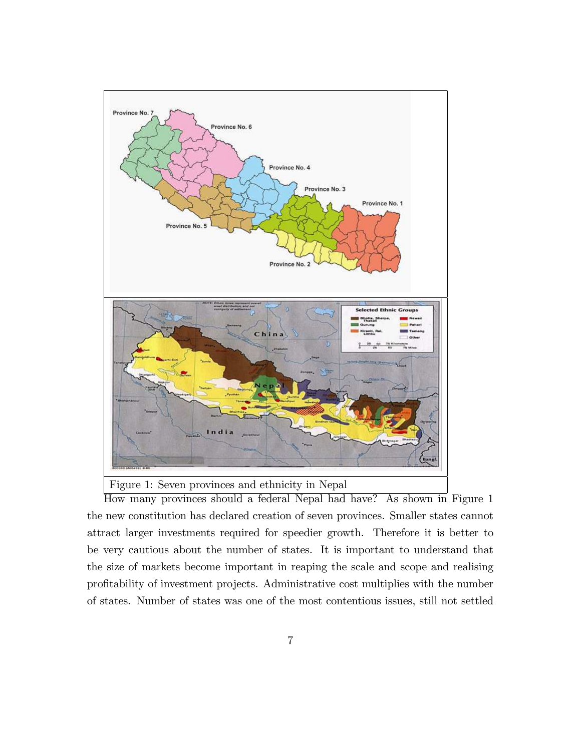

Figure 1: Seven provinces and ethnicity in Nepal

How many provinces should a federal Nepal had have? As shown in Figure 1 the new constitution has declared creation of seven provinces. Smaller states cannot attract larger investments required for speedier growth. Therefore it is better to be very cautious about the number of states. It is important to understand that the size of markets become important in reaping the scale and scope and realising profitability of investment projects. Administrative cost multiplies with the number of states. Number of states was one of the most contentious issues, still not settled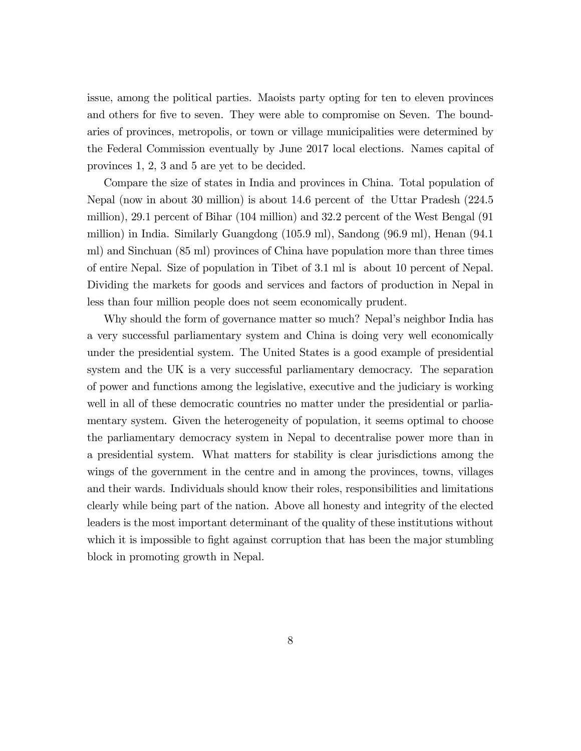issue, among the political parties. Maoists party opting for ten to eleven provinces and others for five to seven. They were able to compromise on Seven. The boundaries of provinces, metropolis, or town or village municipalities were determined by the Federal Commission eventually by June 2017 local elections. Names capital of provinces 1, 2, 3 and 5 are yet to be decided.

Compare the size of states in India and provinces in China. Total population of Nepal (now in about 30 million) is about 14.6 percent of the Uttar Pradesh (224.5 million), 29.1 percent of Bihar (104 million) and 32.2 percent of the West Bengal (91 million) in India. Similarly Guangdong (105.9 ml), Sandong (96.9 ml), Henan (94.1 ml) and Sinchuan (85 ml) provinces of China have population more than three times of entire Nepal. Size of population in Tibet of 3.1 ml is about 10 percent of Nepal. Dividing the markets for goods and services and factors of production in Nepal in less than four million people does not seem economically prudent.

Why should the form of governance matter so much? Nepal's neighbor India has a very successful parliamentary system and China is doing very well economically under the presidential system. The United States is a good example of presidential system and the UK is a very successful parliamentary democracy. The separation of power and functions among the legislative, executive and the judiciary is working well in all of these democratic countries no matter under the presidential or parliamentary system. Given the heterogeneity of population, it seems optimal to choose the parliamentary democracy system in Nepal to decentralise power more than in a presidential system. What matters for stability is clear jurisdictions among the wings of the government in the centre and in among the provinces, towns, villages and their wards. Individuals should know their roles, responsibilities and limitations clearly while being part of the nation. Above all honesty and integrity of the elected leaders is the most important determinant of the quality of these institutions without which it is impossible to fight against corruption that has been the major stumbling block in promoting growth in Nepal.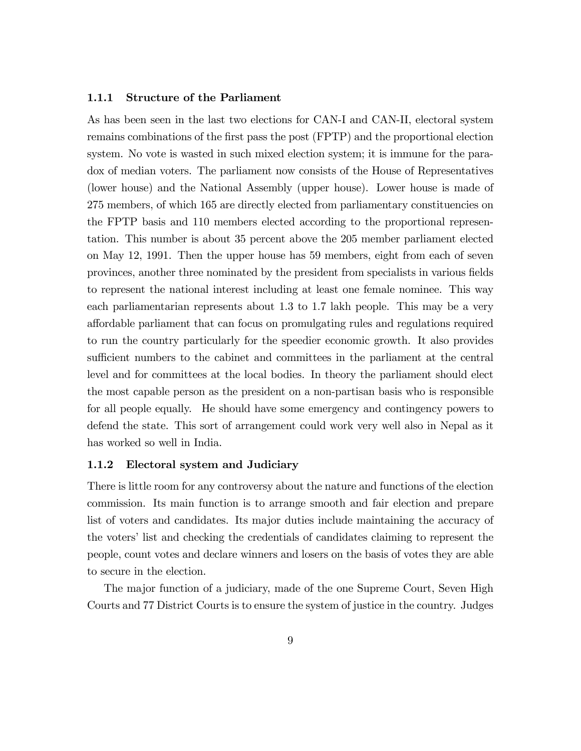#### 1.1.1 Structure of the Parliament

As has been seen in the last two elections for CAN-I and CAN-II, electoral system remains combinations of the first pass the post (FPTP) and the proportional election system. No vote is wasted in such mixed election system; it is immune for the paradox of median voters. The parliament now consists of the House of Representatives (lower house) and the National Assembly (upper house). Lower house is made of 275 members, of which 165 are directly elected from parliamentary constituencies on the FPTP basis and 110 members elected according to the proportional representation. This number is about 35 percent above the 205 member parliament elected on May 12, 1991. Then the upper house has 59 members, eight from each of seven provinces, another three nominated by the president from specialists in various fields to represent the national interest including at least one female nominee. This way each parliamentarian represents about 1.3 to 1.7 lakh people. This may be a very a§ordable parliament that can focus on promulgating rules and regulations required to run the country particularly for the speedier economic growth. It also provides sufficient numbers to the cabinet and committees in the parliament at the central level and for committees at the local bodies. In theory the parliament should elect the most capable person as the president on a non-partisan basis who is responsible for all people equally. He should have some emergency and contingency powers to defend the state. This sort of arrangement could work very well also in Nepal as it has worked so well in India.

#### 1.1.2 Electoral system and Judiciary

There is little room for any controversy about the nature and functions of the election commission. Its main function is to arrange smooth and fair election and prepare list of voters and candidates. Its major duties include maintaining the accuracy of the voters' list and checking the credentials of candidates claiming to represent the people, count votes and declare winners and losers on the basis of votes they are able to secure in the election.

The major function of a judiciary, made of the one Supreme Court, Seven High Courts and 77 District Courts is to ensure the system of justice in the country. Judges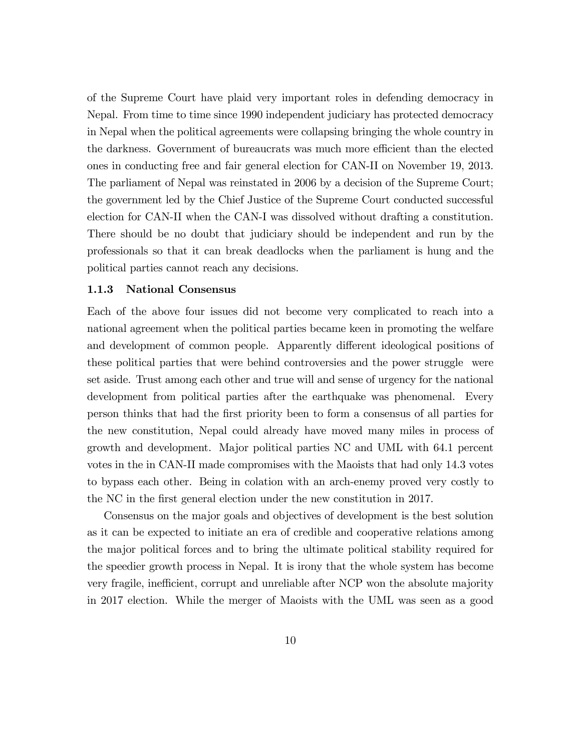of the Supreme Court have plaid very important roles in defending democracy in Nepal. From time to time since 1990 independent judiciary has protected democracy in Nepal when the political agreements were collapsing bringing the whole country in the darkness. Government of bureaucrats was much more efficient than the elected ones in conducting free and fair general election for CAN-II on November 19, 2013. The parliament of Nepal was reinstated in 2006 by a decision of the Supreme Court; the government led by the Chief Justice of the Supreme Court conducted successful election for CAN-II when the CAN-I was dissolved without drafting a constitution. There should be no doubt that judiciary should be independent and run by the professionals so that it can break deadlocks when the parliament is hung and the political parties cannot reach any decisions.

#### 1.1.3 National Consensus

Each of the above four issues did not become very complicated to reach into a national agreement when the political parties became keen in promoting the welfare and development of common people. Apparently different ideological positions of these political parties that were behind controversies and the power struggle were set aside. Trust among each other and true will and sense of urgency for the national development from political parties after the earthquake was phenomenal. Every person thinks that had the Örst priority been to form a consensus of all parties for the new constitution, Nepal could already have moved many miles in process of growth and development. Major political parties NC and UML with 64.1 percent votes in the in CAN-II made compromises with the Maoists that had only 14.3 votes to bypass each other. Being in colation with an arch-enemy proved very costly to the NC in the first general election under the new constitution in 2017.

Consensus on the major goals and objectives of development is the best solution as it can be expected to initiate an era of credible and cooperative relations among the major political forces and to bring the ultimate political stability required for the speedier growth process in Nepal. It is irony that the whole system has become very fragile, inefficient, corrupt and unreliable after NCP won the absolute majority in 2017 election. While the merger of Maoists with the UML was seen as a good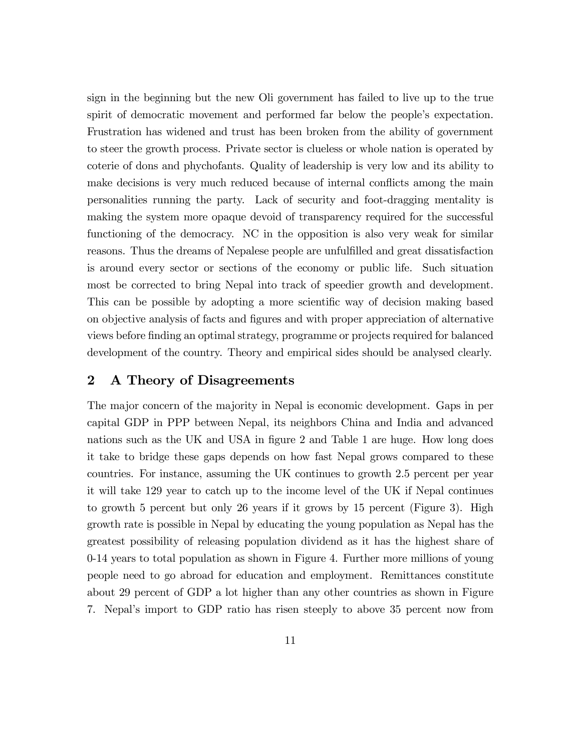sign in the beginning but the new Oli government has failed to live up to the true spirit of democratic movement and performed far below the people's expectation. Frustration has widened and trust has been broken from the ability of government to steer the growth process. Private sector is clueless or whole nation is operated by coterie of dons and phychofants. Quality of leadership is very low and its ability to make decisions is very much reduced because of internal conflicts among the main personalities running the party. Lack of security and foot-dragging mentality is making the system more opaque devoid of transparency required for the successful functioning of the democracy. NC in the opposition is also very weak for similar reasons. Thus the dreams of Nepalese people are unfulfilled and great dissatisfaction is around every sector or sections of the economy or public life. Such situation most be corrected to bring Nepal into track of speedier growth and development. This can be possible by adopting a more scientific way of decision making based on objective analysis of facts and Ögures and with proper appreciation of alternative views before Önding an optimal strategy, programme or projects required for balanced development of the country. Theory and empirical sides should be analysed clearly.

# 2 A Theory of Disagreements

The major concern of the majority in Nepal is economic development. Gaps in per capital GDP in PPP between Nepal, its neighbors China and India and advanced nations such as the UK and USA in figure 2 and Table 1 are huge. How long does it take to bridge these gaps depends on how fast Nepal grows compared to these countries. For instance, assuming the UK continues to growth 2.5 percent per year it will take 129 year to catch up to the income level of the UK if Nepal continues to growth 5 percent but only 26 years if it grows by 15 percent (Figure 3). High growth rate is possible in Nepal by educating the young population as Nepal has the greatest possibility of releasing population dividend as it has the highest share of 0-14 years to total population as shown in Figure 4. Further more millions of young people need to go abroad for education and employment. Remittances constitute about 29 percent of GDP a lot higher than any other countries as shown in Figure 7. Nepal's import to GDP ratio has risen steeply to above 35 percent now from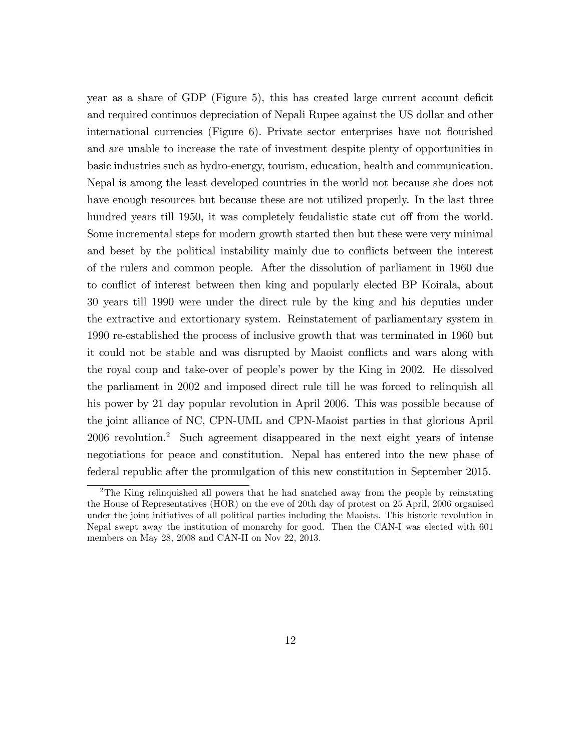year as a share of GDP (Figure 5), this has created large current account deficit and required continuos depreciation of Nepali Rupee against the US dollar and other international currencies (Figure 6). Private sector enterprises have not flourished and are unable to increase the rate of investment despite plenty of opportunities in basic industries such as hydro-energy, tourism, education, health and communication. Nepal is among the least developed countries in the world not because she does not have enough resources but because these are not utilized properly. In the last three hundred years till 1950, it was completely feudalistic state cut off from the world. Some incremental steps for modern growth started then but these were very minimal and beset by the political instability mainly due to conflicts between the interest of the rulers and common people. After the dissolution of parliament in 1960 due to conflict of interest between then king and popularly elected BP Koirala, about 30 years till 1990 were under the direct rule by the king and his deputies under the extractive and extortionary system. Reinstatement of parliamentary system in 1990 re-established the process of inclusive growth that was terminated in 1960 but it could not be stable and was disrupted by Maoist conflicts and wars along with the royal coup and take-over of peopleís power by the King in 2002. He dissolved the parliament in 2002 and imposed direct rule till he was forced to relinquish all his power by 21 day popular revolution in April 2006. This was possible because of the joint alliance of NC, CPN-UML and CPN-Maoist parties in that glorious April 2006 revolution.<sup>2</sup> Such agreement disappeared in the next eight years of intense negotiations for peace and constitution. Nepal has entered into the new phase of federal republic after the promulgation of this new constitution in September 2015.

<sup>2</sup>The King relinquished all powers that he had snatched away from the people by reinstating the House of Representatives (HOR) on the eve of 20th day of protest on 25 April, 2006 organised under the joint initiatives of all political parties including the Maoists. This historic revolution in Nepal swept away the institution of monarchy for good. Then the CAN-I was elected with 601 members on May 28, 2008 and CAN-II on Nov 22, 2013.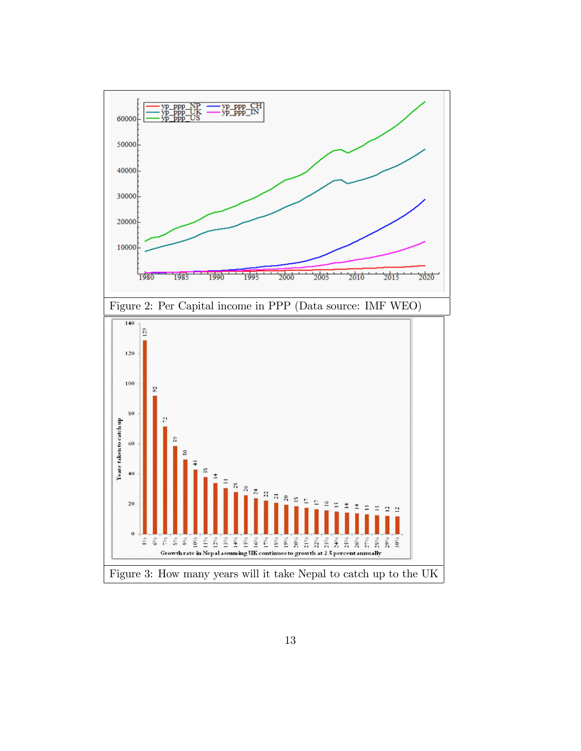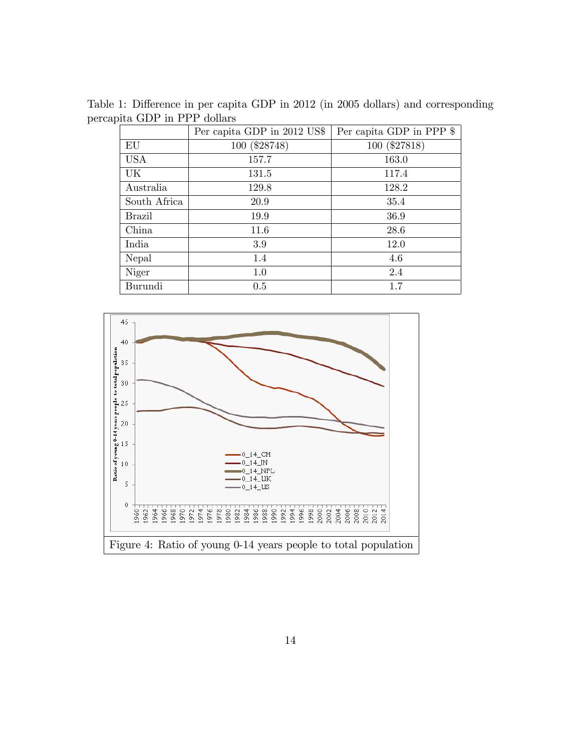Table 1: Difference in per capita GDP in 2012 (in 2005 dollars) and corresponding percapita GDP in PPP dollars

|               | Per capita GDP in 2012 US\$ | Per capita GDP in PPP \$ |
|---------------|-----------------------------|--------------------------|
| EU            | 100 (\$28748)               | 100 (\$27818)            |
| <b>USA</b>    | 157.7                       | 163.0                    |
| UK            | 131.5                       | 117.4                    |
| Australia     | 129.8                       | 128.2                    |
| South Africa  | 20.9                        | 35.4                     |
| <b>Brazil</b> | 19.9                        | 36.9                     |
| China         | 11.6                        | 28.6                     |
| India         | 3.9                         | 12.0                     |
| Nepal         | 1.4                         | 4.6                      |
| Niger         | 1.0                         | 2.4                      |
| Burundi       | 0.5                         | 1.7                      |

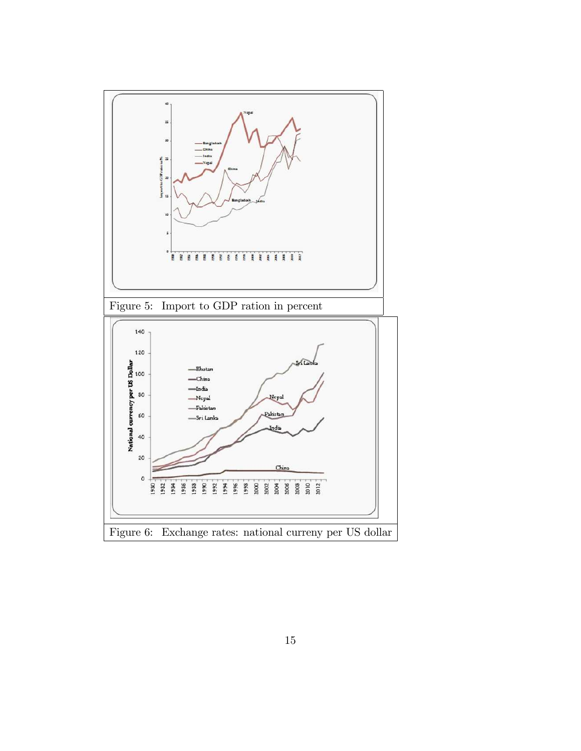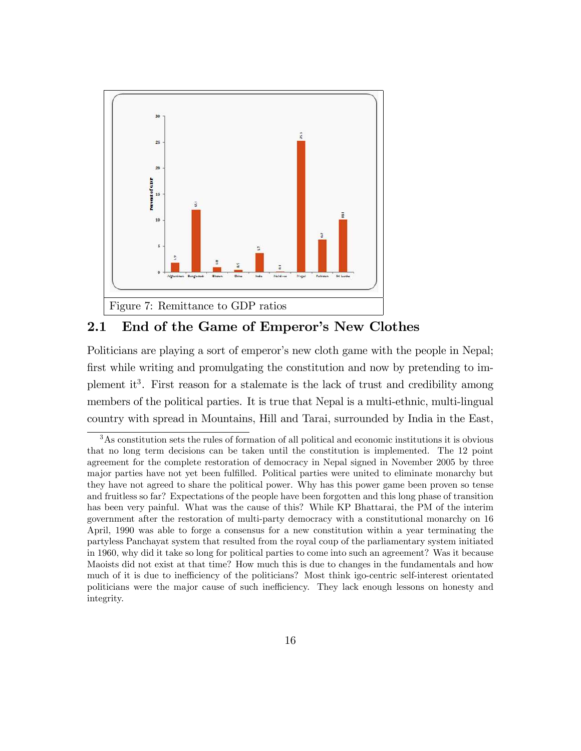

# 2.1 End of the Game of Emperor's New Clothes

Politicians are playing a sort of emperor's new cloth game with the people in Nepal; first while writing and promulgating the constitution and now by pretending to implement it<sup>3</sup>. First reason for a stalemate is the lack of trust and credibility among members of the political parties. It is true that Nepal is a multi-ethnic, multi-lingual country with spread in Mountains, Hill and Tarai, surrounded by India in the East,

<sup>3</sup>As constitution sets the rules of formation of all political and economic institutions it is obvious that no long term decisions can be taken until the constitution is implemented. The 12 point agreement for the complete restoration of democracy in Nepal signed in November 2005 by three major parties have not yet been fulfilled. Political parties were united to eliminate monarchy but they have not agreed to share the political power. Why has this power game been proven so tense and fruitless so far? Expectations of the people have been forgotten and this long phase of transition has been very painful. What was the cause of this? While KP Bhattarai, the PM of the interim government after the restoration of multi-party democracy with a constitutional monarchy on 16 April, 1990 was able to forge a consensus for a new constitution within a year terminating the partyless Panchayat system that resulted from the royal coup of the parliamentary system initiated in 1960, why did it take so long for political parties to come into such an agreement? Was it because Maoists did not exist at that time? How much this is due to changes in the fundamentals and how much of it is due to inefficiency of the politicians? Most think igo-centric self-interest orientated politicians were the major cause of such inefficiency. They lack enough lessons on honesty and integrity.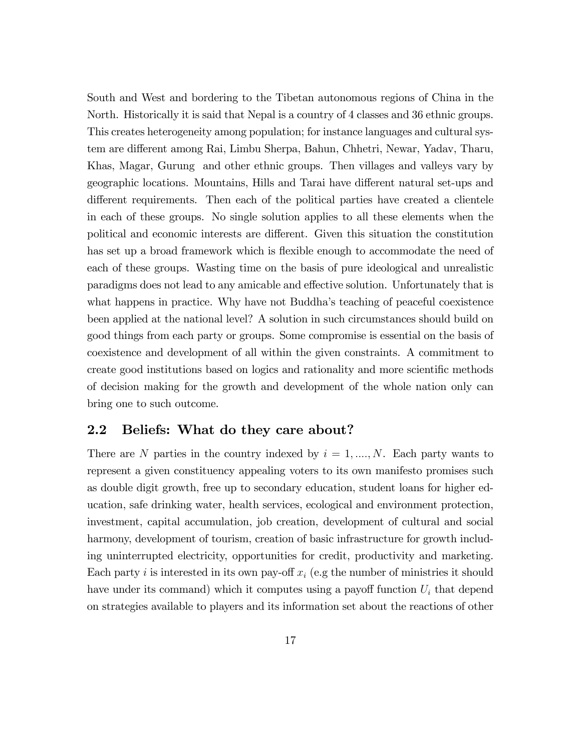South and West and bordering to the Tibetan autonomous regions of China in the North. Historically it is said that Nepal is a country of 4 classes and 36 ethnic groups. This creates heterogeneity among population; for instance languages and cultural system are different among Rai, Limbu Sherpa, Bahun, Chhetri, Newar, Yadav, Tharu, Khas, Magar, Gurung and other ethnic groups. Then villages and valleys vary by geographic locations. Mountains, Hills and Tarai have different natural set-ups and different requirements. Then each of the political parties have created a clientele in each of these groups. No single solution applies to all these elements when the political and economic interests are different. Given this situation the constitution has set up a broad framework which is flexible enough to accommodate the need of each of these groups. Wasting time on the basis of pure ideological and unrealistic paradigms does not lead to any amicable and effective solution. Unfortunately that is what happens in practice. Why have not Buddha's teaching of peaceful coexistence been applied at the national level? A solution in such circumstances should build on good things from each party or groups. Some compromise is essential on the basis of coexistence and development of all within the given constraints. A commitment to create good institutions based on logics and rationality and more scientific methods of decision making for the growth and development of the whole nation only can bring one to such outcome.

## 2.2 Beliefs: What do they care about?

There are N parties in the country indexed by  $i = 1, ..., N$ . Each party wants to represent a given constituency appealing voters to its own manifesto promises such as double digit growth, free up to secondary education, student loans for higher education, safe drinking water, health services, ecological and environment protection, investment, capital accumulation, job creation, development of cultural and social harmony, development of tourism, creation of basic infrastructure for growth including uninterrupted electricity, opportunities for credit, productivity and marketing. Each party i is interested in its own pay-off  $x_i$  (e.g the number of ministries it should have under its command) which it computes using a payoff function  $U_i$  that depend on strategies available to players and its information set about the reactions of other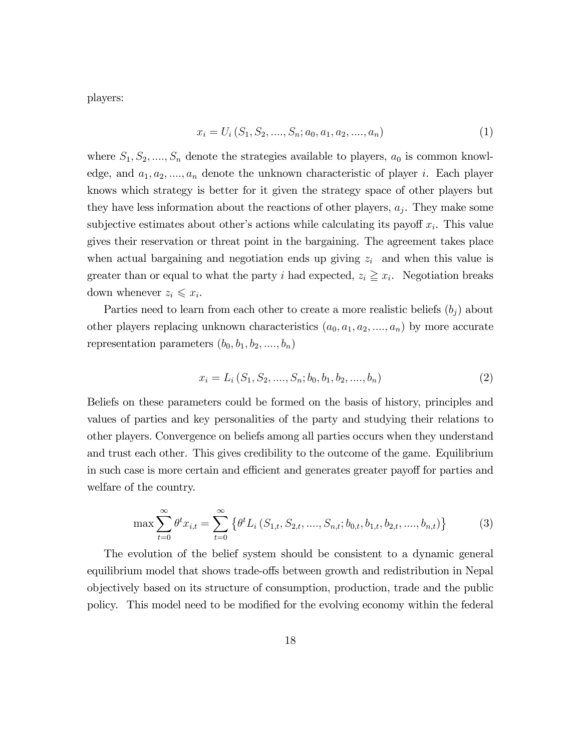players:

$$
x_i = U_i(S_1, S_2, \dots, S_n; a_0, a_1, a_2, \dots, a_n)
$$
\n<sup>(1)</sup>

where  $S_1, S_2, \ldots, S_n$  denote the strategies available to players,  $a_0$  is common knowledge, and  $a_1, a_2, ..., a_n$  denote the unknown characteristic of player i. Each player knows which strategy is better for it given the strategy space of other players but they have less information about the reactions of other players,  $a_j$ . They make some subjective estimates about other's actions while calculating its payoff  $x_i$ . This value gives their reservation or threat point in the bargaining. The agreement takes place when actual bargaining and negotiation ends up giving  $z_i$  and when this value is greater than or equal to what the party i had expected,  $z_i \geq x_i$ . Negotiation breaks down whenever  $z_i \leqslant x_i$ .

Parties need to learn from each other to create a more realistic beliefs  $(b_j)$  about other players replacing unknown characteristics  $(a_0, a_1, a_2, \ldots, a_n)$  by more accurate representation parameters  $(b_0, b_1, b_2, \ldots, b_n)$ 

$$
x_i = L_i(S_1, S_2, \dots, S_n; b_0, b_1, b_2, \dots, b_n)
$$
\n
$$
(2)
$$

Beliefs on these parameters could be formed on the basis of history, principles and values of parties and key personalities of the party and studying their relations to other players. Convergence on beliefs among all parties occurs when they understand and trust each other. This gives credibility to the outcome of the game. Equilibrium in such case is more certain and efficient and generates greater payoff for parties and welfare of the country.

$$
\max \sum_{t=0}^{\infty} \theta^t x_{i,t} = \sum_{t=0}^{\infty} \left\{ \theta^t L_i \left( S_{1,t}, S_{2,t}, \dots, S_{n,t}; b_{0,t}, b_{1,t}, b_{2,t}, \dots, b_{n,t} \right) \right\} \tag{3}
$$

The evolution of the belief system should be consistent to a dynamic general equilibrium model that shows trade-offs between growth and redistribution in Nepal objectively based on its structure of consumption, production, trade and the public policy. This model need to be modified for the evolving economy within the federal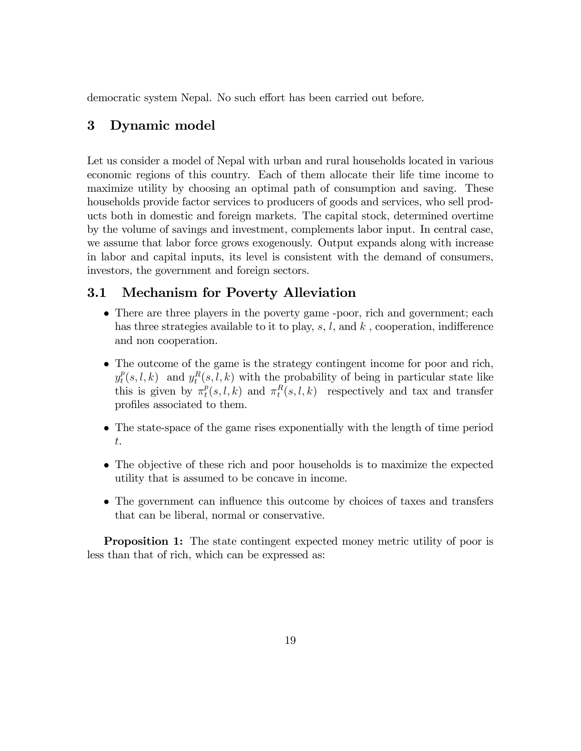democratic system Nepal. No such effort has been carried out before.

# 3 Dynamic model

Let us consider a model of Nepal with urban and rural households located in various economic regions of this country. Each of them allocate their life time income to maximize utility by choosing an optimal path of consumption and saving. These households provide factor services to producers of goods and services, who sell products both in domestic and foreign markets. The capital stock, determined overtime by the volume of savings and investment, complements labor input. In central case, we assume that labor force grows exogenously. Output expands along with increase in labor and capital inputs, its level is consistent with the demand of consumers, investors, the government and foreign sectors.

## 3.1 Mechanism for Poverty Alleviation

- There are three players in the poverty game -poor, rich and government; each has three strategies available to it to play, s, l, and k, cooperation, indifference and non cooperation.
- The outcome of the game is the strategy contingent income for poor and rich,  $y_t^p$  $t^p(t, l, k)$  and  $y_t^R(s, l, k)$  with the probability of being in particular state like this is given by  $\pi_t^p$  $_{t}^{p}(s, l, k)$  and  $\pi_{t}^{R}(s, l, k)$  respectively and tax and transfer profiles associated to them.
- The state-space of the game rises exponentially with the length of time period t.
- The objective of these rich and poor households is to maximize the expected utility that is assumed to be concave in income.
- The government can influence this outcome by choices of taxes and transfers that can be liberal, normal or conservative.

**Proposition 1:** The state contingent expected money metric utility of poor is less than that of rich, which can be expressed as: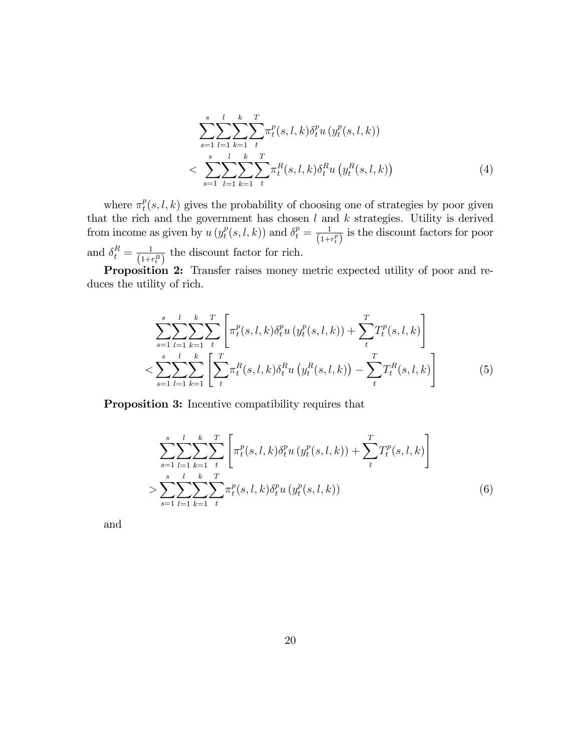$$
\sum_{s=1}^{s} \sum_{l=1}^{l} \sum_{k=1}^{k} \sum_{t}^{T} \pi_{t}^{p}(s, l, k) \delta_{t}^{p} u(y_{t}^{p}(s, l, k))
$$
  

$$
< \sum_{s=1}^{s} \sum_{l=1}^{l} \sum_{k=1}^{k} \sum_{t}^{T} \pi_{t}^{R}(s, l, k) \delta_{t}^{R} u(y_{t}^{R}(s, l, k))
$$
(4)

where  $\pi_t^p$  $t^p(s, l, k)$  gives the probability of choosing one of strategies by poor given that the rich and the government has chosen  $l$  and  $k$  strategies. Utility is derived from income as given by  $u(y_t^p)$  $t_t^p(s, l, k))$  and  $\delta_t^p = \frac{1}{(1 + \epsilon)}$  $\frac{1}{(1+r_t^p)}$  is the discount factors for poor and  $\delta_t^R = \frac{1}{(1+i)}$  $\frac{1}{(1+r_t^R)}$  the discount factor for rich.

Proposition 2: Transfer raises money metric expected utility of poor and reduces the utility of rich.

$$
\sum_{s=1}^{s} \sum_{l=1}^{l} \sum_{k=1}^{k} \sum_{t}^{T} \left[ \pi_{t}^{p}(s, l, k) \delta_{t}^{p} u \left( y_{t}^{p}(s, l, k) \right) + \sum_{t}^{T} T_{t}^{p}(s, l, k) \right] \n< \sum_{s=1}^{s} \sum_{l=1}^{l} \sum_{k=1}^{k} \left[ \sum_{t}^{T} \pi_{t}^{R}(s, l, k) \delta_{t}^{R} u \left( y_{t}^{R}(s, l, k) \right) - \sum_{t}^{T} T_{t}^{R}(s, l, k) \right]
$$
\n(5)

Proposition 3: Incentive compatibility requires that

$$
\sum_{s=1}^{s} \sum_{l=1}^{l} \sum_{k=1}^{k} \sum_{t}^{T} \left[ \pi_t^p(s, l, k) \delta_t^p u \left( y_t^p(s, l, k) \right) + \sum_{t}^{T} T_t^p(s, l, k) \right]
$$
  
> 
$$
\sum_{s=1}^{s} \sum_{l=1}^{l} \sum_{k=1}^{k} \sum_{t}^{T} \pi_t^p(s, l, k) \delta_t^p u \left( y_t^p(s, l, k) \right)
$$
(6)

and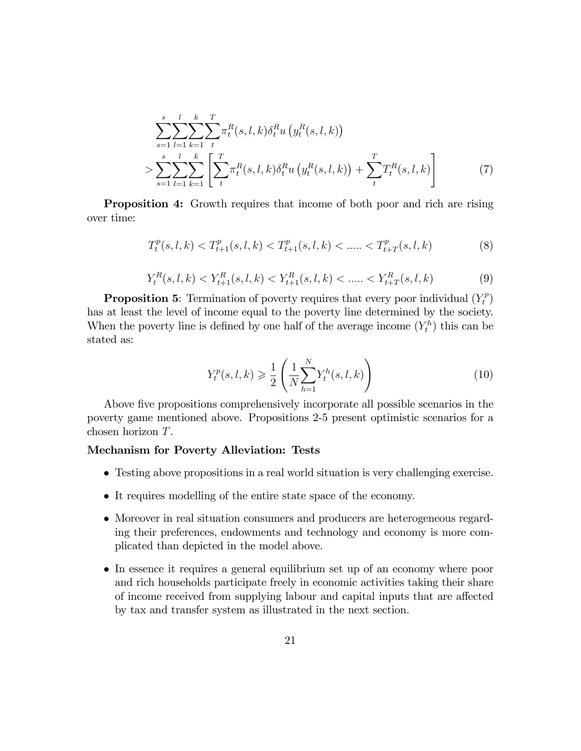$$
\sum_{s=1}^{s} \sum_{l=1}^{l} \sum_{k=1}^{k} \sum_{t}^{T} \pi_{t}^{R}(s, l, k) \delta_{t}^{R} u\left(y_{t}^{R}(s, l, k)\right)
$$
\n
$$
> \sum_{s=1}^{s} \sum_{l=1}^{l} \sum_{k=1}^{k} \left[ \sum_{t}^{T} \pi_{t}^{R}(s, l, k) \delta_{t}^{R} u\left(y_{t}^{R}(s, l, k)\right) + \sum_{t}^{T} T_{t}^{R}(s, l, k) \right]
$$
\n
$$
(7)
$$

Proposition 4: Growth requires that income of both poor and rich are rising over time:

$$
T_t^p(s, l, k) < T_{t+1}^p(s, l, k) < T_{t+1}^p(s, l, k) < \dots < T_{t+T}^p(s, l, k) \tag{8}
$$

$$
Y_t^R(s, l, k) < Y_{t+1}^R(s, l, k) < Y_{t+1}^R(s, l, k) < \dots < Y_{t+T}^R(s, l, k) \tag{9}
$$

**Proposition 5:** Termination of poverty requires that every poor individual  $(Y_t^p)$  $\binom{p}{t}$ has at least the level of income equal to the poverty line determined by the society. When the poverty line is defined by one half of the average income  $(Y_t^h)$  this can be stated as:

$$
Y_t^p(s, l, k) \ge \frac{1}{2} \left( \frac{1}{N} \sum_{h=1}^N Y_t^h(s, l, k) \right)
$$
 (10)

Above five propositions comprehensively incorporate all possible scenarios in the poverty game mentioned above. Propositions 2-5 present optimistic scenarios for a chosen horizon T.

#### Mechanism for Poverty Alleviation: Tests

- Testing above propositions in a real world situation is very challenging exercise.
- It requires modelling of the entire state space of the economy.
- Moreover in real situation consumers and producers are heterogeneous regarding their preferences, endowments and technology and economy is more complicated than depicted in the model above.
- In essence it requires a general equilibrium set up of an economy where poor and rich households participate freely in economic activities taking their share of income received from supplying labour and capital inputs that are affected by tax and transfer system as illustrated in the next section.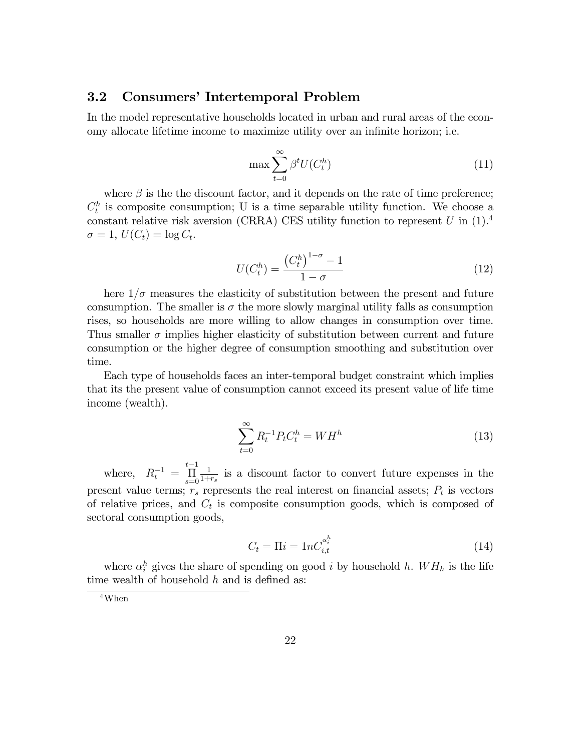# 3.2 Consumers' Intertemporal Problem

In the model representative households located in urban and rural areas of the economy allocate lifetime income to maximize utility over an infinite horizon; i.e.

$$
\max \sum_{t=0}^{\infty} \beta^t U(C_t^h)
$$
\n(11)

where  $\beta$  is the the discount factor, and it depends on the rate of time preference;  $C_t^h$  is composite consumption; U is a time separable utility function. We choose a constant relative risk aversion (CRRA) CES utility function to represent U in  $(1).4$  $\sigma = 1, U(C_t) = \log C_t.$ 

$$
U(C_t^h) = \frac{\left(C_t^h\right)^{1-\sigma} - 1}{1-\sigma} \tag{12}
$$

here  $1/\sigma$  measures the elasticity of substitution between the present and future consumption. The smaller is  $\sigma$  the more slowly marginal utility falls as consumption rises, so households are more willing to allow changes in consumption over time. Thus smaller  $\sigma$  implies higher elasticity of substitution between current and future consumption or the higher degree of consumption smoothing and substitution over time.

Each type of households faces an inter-temporal budget constraint which implies that its the present value of consumption cannot exceed its present value of life time income (wealth).

$$
\sum_{t=0}^{\infty} R_t^{-1} P_t C_t^h = W H^h \tag{13}
$$

where,  $R_t^{-1}$  =  $t-1$  $\prod_{s=0}$ 1  $\frac{1}{1+r_s}$  is a discount factor to convert future expenses in the present value terms;  $r_s$  represents the real interest on financial assets;  $P_t$  is vectors of relative prices, and  $C_t$  is composite consumption goods, which is composed of sectoral consumption goods,

$$
C_t = \Pi i = 1nC_{i,t}^{\alpha_i^h} \tag{14}
$$

where  $\alpha_i^h$  gives the share of spending on good *i* by household *h*.  $WH_h$  is the life time wealth of household  $h$  and is defined as:

<sup>4</sup>When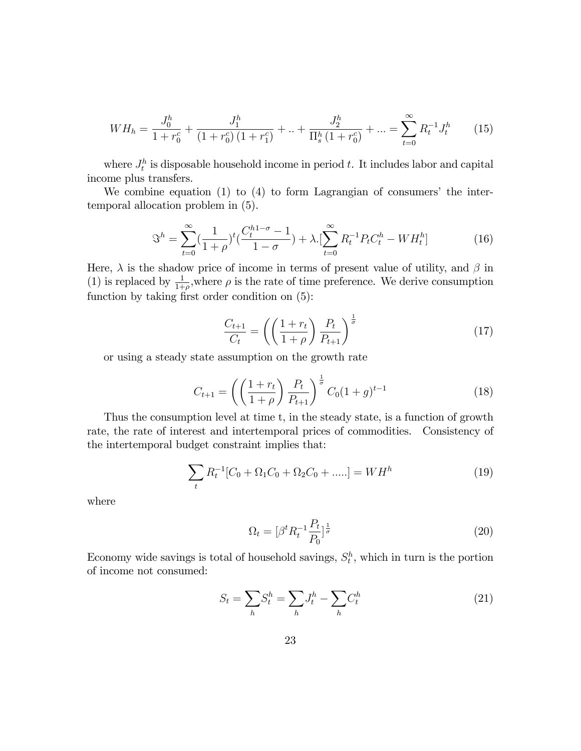$$
WH_h = \frac{J_0^h}{1 + r_0^c} + \frac{J_1^h}{(1 + r_0^c)(1 + r_1^c)} + \ldots + \frac{J_2^h}{\prod_s^h (1 + r_0^c)} + \ldots = \sum_{t=0}^{\infty} R_t^{-1} J_t^h \tag{15}
$$

where  $J_t^h$  is disposable household income in period t. It includes labor and capital income plus transfers.

We combine equation  $(1)$  to  $(4)$  to form Lagrangian of consumers' the intertemporal allocation problem in (5).

$$
\mathfrak{S}^h = \sum_{t=0}^{\infty} \left(\frac{1}{1+\rho}\right)^t \left(\frac{C_t^{h1-\sigma}-1}{1-\sigma}\right) + \lambda \left[\sum_{t=0}^{\infty} R_t^{-1} P_t C_t^h - W H_t^h\right]
$$
(16)

Here,  $\lambda$  is the shadow price of income in terms of present value of utility, and  $\beta$  in (1) is replaced by  $\frac{1}{1+\rho}$ , where  $\rho$  is the rate of time preference. We derive consumption function by taking first order condition on  $(5)$ :

$$
\frac{C_{t+1}}{C_t} = \left(\left(\frac{1+r_t}{1+\rho}\right)\frac{P_t}{P_{t+1}}\right)^{\frac{1}{\sigma}}
$$
\n(17)

or using a steady state assumption on the growth rate

$$
C_{t+1} = \left( \left( \frac{1+r_t}{1+\rho} \right) \frac{P_t}{P_{t+1}} \right)^{\frac{1}{\sigma}} C_0 (1+g)^{t-1}
$$
 (18)

Thus the consumption level at time t, in the steady state, is a function of growth rate, the rate of interest and intertemporal prices of commodities. Consistency of the intertemporal budget constraint implies that:

$$
\sum_{t} R_{t}^{-1} [C_{0} + \Omega_{1} C_{0} + \Omega_{2} C_{0} + \dots] = W H^{h}
$$
\n(19)

where

$$
\Omega_t = [\beta^t R_t^{-1} \frac{P_t}{P_0}]^{\frac{1}{\sigma}}
$$
\n(20)

Economy wide savings is total of household savings,  $S_t^h$ , which in turn is the portion of income not consumed:

$$
S_t = \sum_h S_t^h = \sum_h J_t^h - \sum_h C_t^h \tag{21}
$$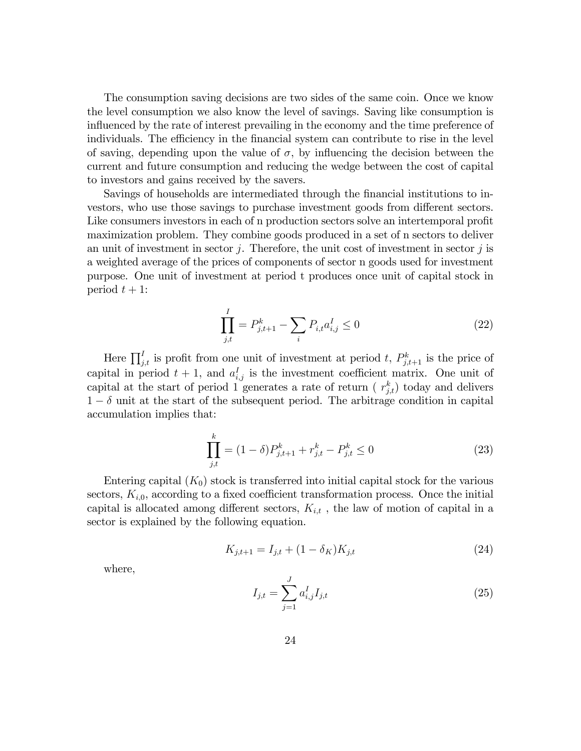The consumption saving decisions are two sides of the same coin. Once we know the level consumption we also know the level of savings. Saving like consumption is influenced by the rate of interest prevailing in the economy and the time preference of individuals. The efficiency in the financial system can contribute to rise in the level of saving, depending upon the value of  $\sigma$ , by influencing the decision between the current and future consumption and reducing the wedge between the cost of capital to investors and gains received by the savers.

Savings of households are intermediated through the financial institutions to investors, who use those savings to purchase investment goods from different sectors. Like consumers investors in each of n production sectors solve an intertemporal profit maximization problem. They combine goods produced in a set of n sectors to deliver an unit of investment in sector  $j$ . Therefore, the unit cost of investment in sector  $j$  is a weighted average of the prices of components of sector n goods used for investment purpose. One unit of investment at period t produces once unit of capital stock in period  $t + 1$ :

$$
\prod_{j,t}^{I} = P_{j,t+1}^{k} - \sum_{i} P_{i,t} a_{i,j}^{I} \le 0
$$
\n(22)

Here  $\prod_{j,t}^{I}$  is profit from one unit of investment at period t,  $P_{j,t+1}^{k}$  is the price of capital in period  $t + 1$ , and  $a_{i,j}^I$  is the investment coefficient matrix. One unit of capital at the start of period 1 generates a rate of return ( $r_{j,t}^k$ ) today and delivers  $1 - \delta$  unit at the start of the subsequent period. The arbitrage condition in capital accumulation implies that:

$$
\prod_{j,t}^{k} = (1 - \delta)P_{j,t+1}^{k} + r_{j,t}^{k} - P_{j,t}^{k} \le 0
$$
\n(23)

Entering capital  $(K_0)$  stock is transferred into initial capital stock for the various sectors,  $K_{i,0}$ , according to a fixed coefficient transformation process. Once the initial capital is allocated among different sectors,  $K_{i,t}$ , the law of motion of capital in a sector is explained by the following equation.

$$
K_{j,t+1} = I_{j,t} + (1 - \delta_K)K_{j,t}
$$
\n(24)

where,

$$
I_{j,t} = \sum_{j=1}^{J} a_{i,j}^{I} I_{j,t}
$$
\n(25)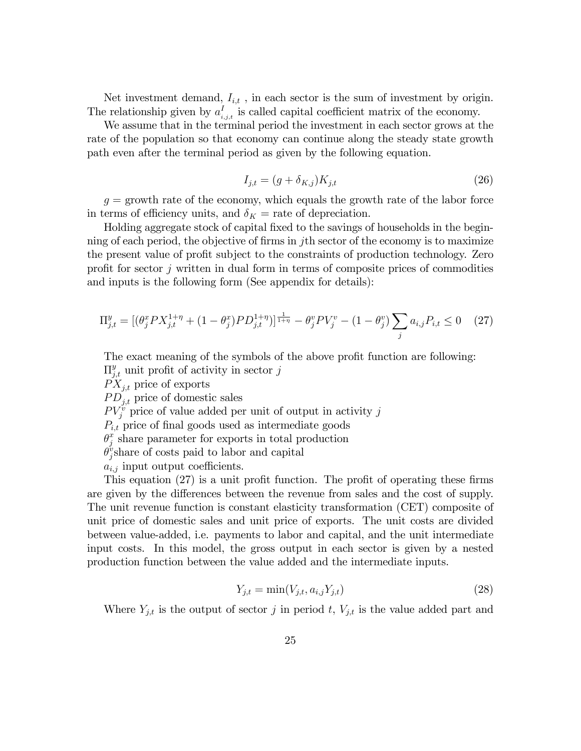Net investment demand,  $I_{i,t}$ , in each sector is the sum of investment by origin. The relationship given by  $a_i^I$  $i_{i,j,t}$  is called capital coefficient matrix of the economy.

We assume that in the terminal period the investment in each sector grows at the rate of the population so that economy can continue along the steady state growth path even after the terminal period as given by the following equation.

$$
I_{j,t} = (g + \delta_{K,j})K_{j,t} \tag{26}
$$

 $g =$  growth rate of the economy, which equals the growth rate of the labor force in terms of efficiency units, and  $\delta_K$  = rate of depreciation.

Holding aggregate stock of capital Öxed to the savings of households in the beginning of each period, the objective of firms in jth sector of the economy is to maximize the present value of profit subject to the constraints of production technology. Zero profit for sector  $j$  written in dual form in terms of composite prices of commodities and inputs is the following form (See appendix for details):

$$
\Pi_{j,t}^{y} = \left[ \left( \theta_j^x P X_{j,t}^{1+\eta} + (1 - \theta_j^x) P D_{j,t}^{1+\eta} \right) \right]_{\frac{1}{1+\eta}}^{\frac{1}{1+\eta}} - \theta_j^y P V_j^v - (1 - \theta_j^y) \sum_j a_{i,j} P_{i,t} \le 0 \tag{27}
$$

The exact meaning of the symbols of the above profit function are following:  $\Pi_{j,t}^y$  unit profit of activity in sector j

 $PX_{i,t}$  price of exports

 $PD_{i,t}$  price of domestic sales

 $PV_j^v$  price of value added per unit of output in activity j

 $P_{i,t}$  price of final goods used as intermediate goods

 $\theta_i^x$  $_j^x$  share parameter for exports in total production

 $\check{\theta}^v_i$  $_{j}^{\nu}$ share of costs paid to labor and capital

 $a_{i,j}$  input output coefficients.

This equation  $(27)$  is a unit profit function. The profit of operating these firms are given by the differences between the revenue from sales and the cost of supply. The unit revenue function is constant elasticity transformation (CET) composite of unit price of domestic sales and unit price of exports. The unit costs are divided between value-added, i.e. payments to labor and capital, and the unit intermediate input costs. In this model, the gross output in each sector is given by a nested production function between the value added and the intermediate inputs.

$$
Y_{j,t} = \min(V_{j,t}, a_{i,j} Y_{j,t})
$$
\n(28)

Where  $Y_{j,t}$  is the output of sector j in period t,  $V_{j,t}$  is the value added part and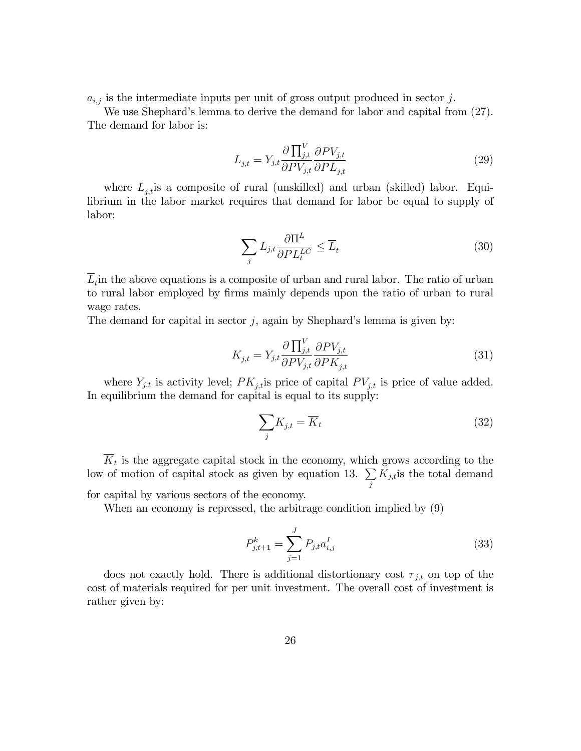$a_{i,j}$  is the intermediate inputs per unit of gross output produced in sector j.

We use Shephard's lemma to derive the demand for labor and capital from  $(27)$ . The demand for labor is:

$$
L_{j,t} = Y_{j,t} \frac{\partial \prod_{j,t}^{V} \partial P V_{j,t}}{\partial P V_{j,t}} \frac{\partial P V_{j,t}}{\partial P L_{j,t}}
$$
(29)

where  $L_{i,t}$  is a composite of rural (unskilled) and urban (skilled) labor. Equilibrium in the labor market requires that demand for labor be equal to supply of labor:

$$
\sum_{j} L_{j,t} \frac{\partial \Pi^L}{\partial PL_t^{LC}} \le \overline{L}_t
$$
\n(30)

 $L_t$  in the above equations is a composite of urban and rural labor. The ratio of urban to rural labor employed by Örms mainly depends upon the ratio of urban to rural wage rates.

The demand for capital in sector  $j$ , again by Shephard's lemma is given by:

$$
K_{j,t} = Y_{j,t} \frac{\partial \prod_{j,t}^{V} \partial PV_{j,t}}{\partial PV_{j,t}} \frac{\partial PV_{j,t}}{\partial PK_{j,t}}
$$
(31)

where  $Y_{j,t}$  is activity level;  $PK_{j,t}$  is price of capital  $PV_{j,t}$  is price of value added. In equilibrium the demand for capital is equal to its supply:

$$
\sum_{j} K_{j,t} = \overline{K}_t \tag{32}
$$

 $K_t$  is the aggregate capital stock in the economy, which grows according to the low of motion of capital stock as given by equation 13.  $\Sigma$ j  $K_{j,t}$  is the total demand for capital by various sectors of the economy.

When an economy is repressed, the arbitrage condition implied by (9)

$$
P_{j,t+1}^k = \sum_{j=1}^J P_{j,t} a_{i,j}^I
$$
 (33)

does not exactly hold. There is additional distortionary cost  $\tau_{j,t}$  on top of the cost of materials required for per unit investment. The overall cost of investment is rather given by: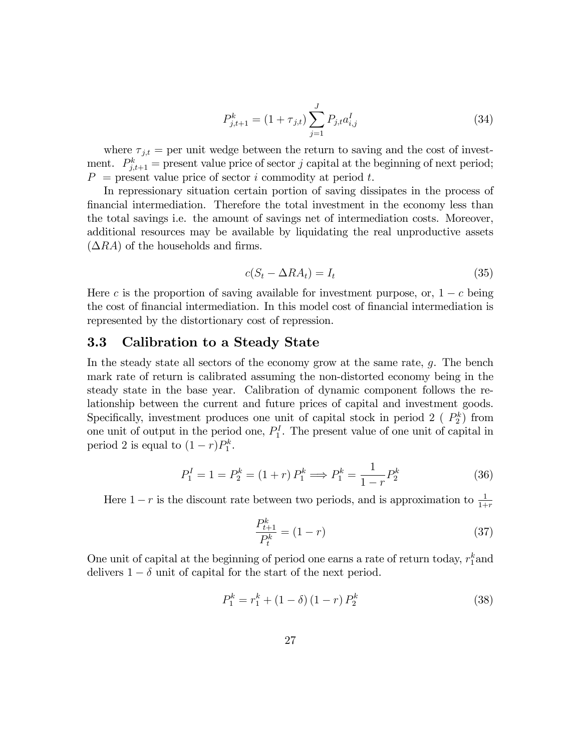$$
P_{j,t+1}^k = (1 + \tau_{j,t}) \sum_{j=1}^J P_{j,t} a_{i,j}^I
$$
 (34)

where  $\tau_{j,t}$  = per unit wedge between the return to saving and the cost of investment.  $P_{j,t+1}^k =$  present value price of sector j capital at the beginning of next period;  $P =$  present value price of sector i commodity at period t.

In repressionary situation certain portion of saving dissipates in the process of Önancial intermediation. Therefore the total investment in the economy less than the total savings i.e. the amount of savings net of intermediation costs. Moreover, additional resources may be available by liquidating the real unproductive assets  $(\Delta RA)$  of the households and firms.

$$
c(S_t - \Delta RA_t) = I_t \tag{35}
$$

Here c is the proportion of saving available for investment purpose, or,  $1 - c$  being the cost of financial intermediation. In this model cost of financial intermediation is represented by the distortionary cost of repression.

### 3.3 Calibration to a Steady State

In the steady state all sectors of the economy grow at the same rate, g. The bench mark rate of return is calibrated assuming the non-distorted economy being in the steady state in the base year. Calibration of dynamic component follows the relationship between the current and future prices of capital and investment goods. Specifically, investment produces one unit of capital stock in period 2 ( $P_2^k$ ) from one unit of output in the period one,  $P_1^I$ . The present value of one unit of capital in period 2 is equal to  $(1 - r)P_1^k$ .

$$
P_1^I = 1 = P_2^k = (1+r) P_1^k \Longrightarrow P_1^k = \frac{1}{1-r} P_2^k \tag{36}
$$

Here  $1-r$  is the discount rate between two periods, and is approximation to  $\frac{1}{1+r}$ 

$$
\frac{P_{t+1}^k}{P_t^k} = (1 - r) \tag{37}
$$

One unit of capital at the beginning of period one earns a rate of return today,  $r_1^k$  and delivers  $1 - \delta$  unit of capital for the start of the next period.

$$
P_1^k = r_1^k + (1 - \delta)(1 - r) P_2^k \tag{38}
$$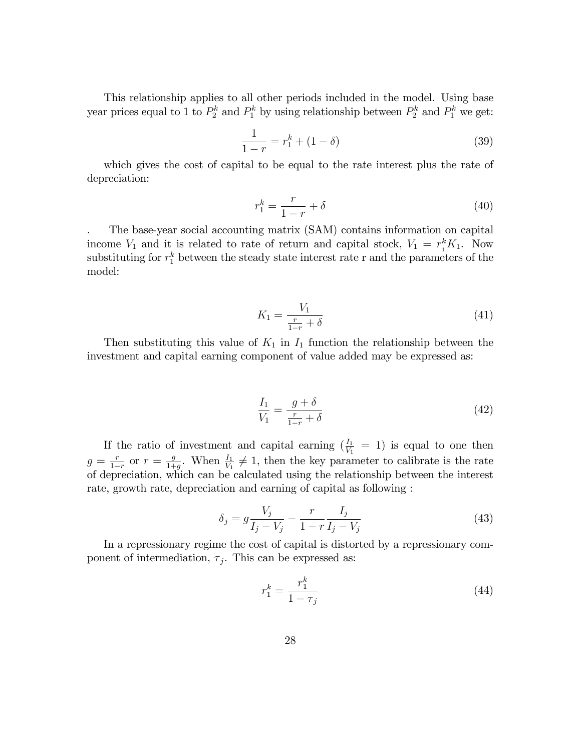This relationship applies to all other periods included in the model. Using base year prices equal to 1 to  $P_2^k$  and  $P_1^k$  by using relationship between  $P_2^k$  and  $P_1^k$  we get:

$$
\frac{1}{1-r} = r_1^k + (1 - \delta) \tag{39}
$$

which gives the cost of capital to be equal to the rate interest plus the rate of depreciation:

$$
r_1^k = \frac{r}{1-r} + \delta \tag{40}
$$

. The base-year social accounting matrix (SAM) contains information on capital income  $V_1$  and it is related to rate of return and capital stock,  $V_1 = r_1^k K_1$ . Now substituting for  $r_1^k$  between the steady state interest rate r and the parameters of the model:

$$
K_1 = \frac{V_1}{\frac{r}{1-r} + \delta} \tag{41}
$$

Then substituting this value of  $K_1$  in  $I_1$  function the relationship between the investment and capital earning component of value added may be expressed as:

$$
\frac{I_1}{V_1} = \frac{g + \delta}{\frac{r}{1 - r} + \delta} \tag{42}
$$

If the ratio of investment and capital earning  $(\frac{I_1}{V_1} = 1)$  is equal to one then  $g = \frac{r}{1-r}$  or  $r = \frac{g}{1+r}$  $\frac{g}{1+g}$ . When  $\frac{I_1}{V_1} \neq 1$ , then the key parameter to calibrate is the rate of depreciation, which can be calculated using the relationship between the interest rate, growth rate, depreciation and earning of capital as following :

$$
\delta_j = g \frac{V_j}{I_j - V_j} - \frac{r}{1 - r} \frac{I_j}{I_j - V_j} \tag{43}
$$

In a repressionary regime the cost of capital is distorted by a repressionary component of intermediation,  $\tau_j$ . This can be expressed as:

$$
r_1^k = \frac{\overline{r}_1^k}{1 - \tau_j} \tag{44}
$$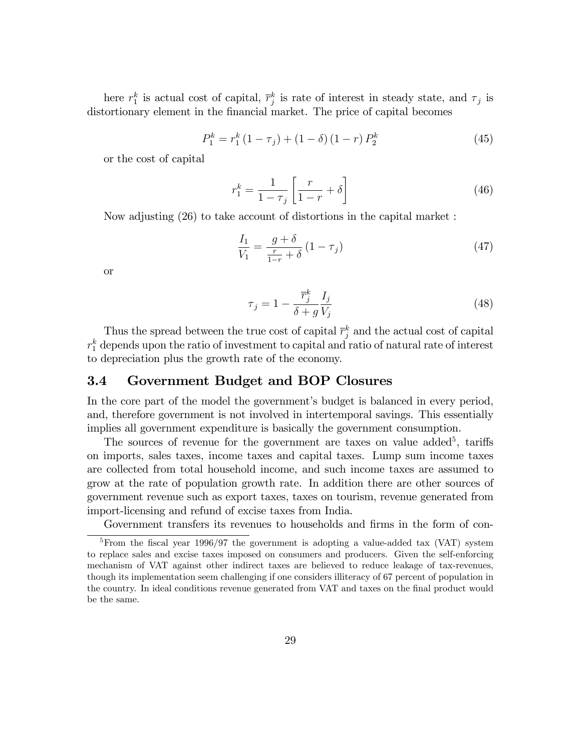here  $r_1^k$  is actual cost of capital,  $\overline{r}_j^k$  is rate of interest in steady state, and  $\tau_j$  is distortionary element in the financial market. The price of capital becomes

$$
P_1^k = r_1^k (1 - \tau_j) + (1 - \delta) (1 - r) P_2^k \tag{45}
$$

or the cost of capital

$$
r_1^k = \frac{1}{1 - \tau_j} \left[ \frac{r}{1 - r} + \delta \right] \tag{46}
$$

Now adjusting (26) to take account of distortions in the capital market :

$$
\frac{I_1}{V_1} = \frac{g + \delta}{\frac{r}{1 - r} + \delta} \left( 1 - \tau_j \right) \tag{47}
$$

or

$$
\tau_j = 1 - \frac{\overline{r}_j^k}{\delta + g} \frac{I_j}{V_j} \tag{48}
$$

Thus the spread between the true cost of capital  $\overline{r}_j^k$  and the actual cost of capital  $r_1^k$  depends upon the ratio of investment to capital and ratio of natural rate of interest to depreciation plus the growth rate of the economy.

## 3.4 Government Budget and BOP Closures

In the core part of the model the government's budget is balanced in every period, and, therefore government is not involved in intertemporal savings. This essentially implies all government expenditure is basically the government consumption.

The sources of revenue for the government are taxes on value added<sup>5</sup>, tariffs on imports, sales taxes, income taxes and capital taxes. Lump sum income taxes are collected from total household income, and such income taxes are assumed to grow at the rate of population growth rate. In addition there are other sources of government revenue such as export taxes, taxes on tourism, revenue generated from import-licensing and refund of excise taxes from India.

Government transfers its revenues to households and firms in the form of con-

 $5$ From the fiscal year 1996/97 the government is adopting a value-added tax (VAT) system to replace sales and excise taxes imposed on consumers and producers. Given the self-enforcing mechanism of VAT against other indirect taxes are believed to reduce leakage of tax-revenues, though its implementation seem challenging if one considers illiteracy of 67 percent of population in the country. In ideal conditions revenue generated from VAT and taxes on the final product would be the same.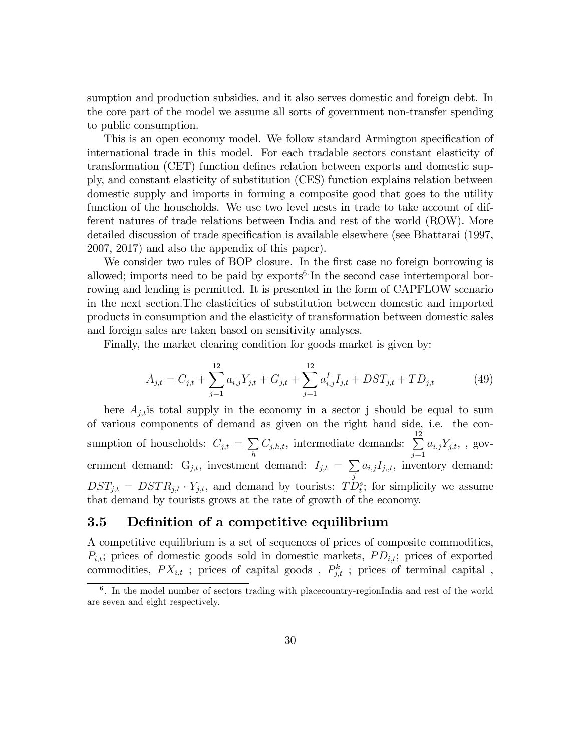sumption and production subsidies, and it also serves domestic and foreign debt. In the core part of the model we assume all sorts of government non-transfer spending to public consumption.

This is an open economy model. We follow standard Armington specification of international trade in this model. For each tradable sectors constant elasticity of transformation (CET) function defines relation between exports and domestic supply, and constant elasticity of substitution (CES) function explains relation between domestic supply and imports in forming a composite good that goes to the utility function of the households. We use two level nests in trade to take account of different natures of trade relations between India and rest of the world (ROW). More detailed discussion of trade specification is available elsewhere (see Bhattarai (1997, 2007, 2017) and also the appendix of this paper).

We consider two rules of BOP closure. In the first case no foreign borrowing is allowed; imports need to be paid by exports<sup>6</sup> In the second case intertemporal borrowing and lending is permitted. It is presented in the form of CAPFLOW scenario in the next section:The elasticities of substitution between domestic and imported products in consumption and the elasticity of transformation between domestic sales and foreign sales are taken based on sensitivity analyses.

Finally, the market clearing condition for goods market is given by:

$$
A_{j,t} = C_{j,t} + \sum_{j=1}^{12} a_{i,j} Y_{j,t} + G_{j,t} + \sum_{j=1}^{12} a_{i,j}^I I_{j,t} + DST_{j,t} + TD_{j,t}
$$
(49)

here  $A_{j,t}$  is total supply in the economy in a sector j should be equal to sum of various components of demand as given on the right hand side, i.e. the consumption of households:  $C_{j,t} = \sum$ h  $C_{j,h,t}$ , intermediate demands:  $\sum_{ }^{12}$  $j=1$  $a_{i,j}Y_{j,t},$ , government demand:  $G_{j,t}$ , investment demand:  $I_{j,t} = \sum$ j  $a_{i,j}I_{j,t}$ , inventory demand:  $DST_{j,t} = DSTR_{j,t} \cdot Y_{j,t}$ , and demand by tourists:  $TD_t^s$ ; for simplicity we assume that demand by tourists grows at the rate of growth of the economy.

## 3.5 Definition of a competitive equilibrium

A competitive equilibrium is a set of sequences of prices of composite commodities,  $P_{i,t}$ ; prices of domestic goods sold in domestic markets,  $PD_{i,t}$ ; prices of exported commodities,  $PX_{i,t}$ ; prices of capital goods,  $P_{j,t}^k$ ; prices of terminal capital,

<sup>&</sup>lt;sup>6</sup>. In the model number of sectors trading with placecountry-regionIndia and rest of the world are seven and eight respectively.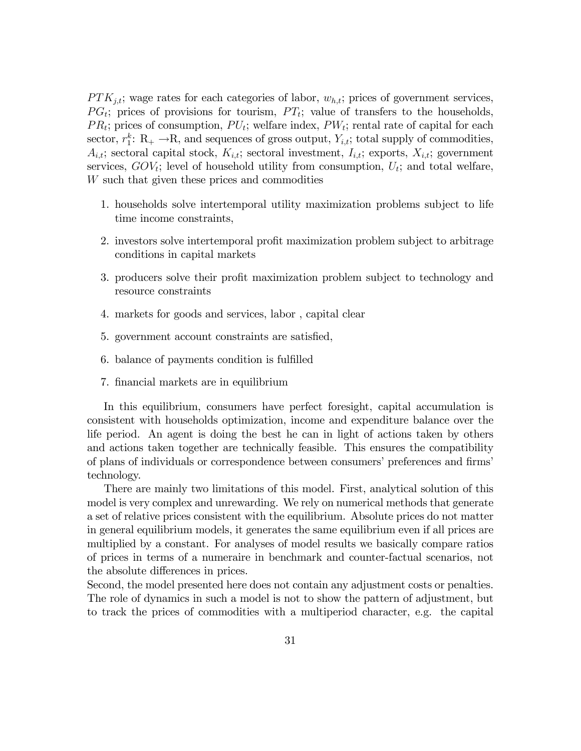$PTK_{j,t}$ ; wage rates for each categories of labor,  $w_{h,t}$ ; prices of government services,  $PG<sub>t</sub>$ ; prices of provisions for tourism,  $PT<sub>t</sub>$ ; value of transfers to the households,  $PR_t$ ; prices of consumption,  $PU_t$ ; welfare index,  $PW_t$ ; rental rate of capital for each sector,  $r_1^k$ : R<sub>+</sub>  $\rightarrow$ R, and sequences of gross output,  $Y_{i,t}$ ; total supply of commodities,  $A_{i,t}$ ; sectoral capital stock,  $K_{i,t}$ ; sectoral investment,  $I_{i,t}$ ; exports,  $X_{i,t}$ ; government services,  $GOV_t$ ; level of household utility from consumption,  $U_t$ ; and total welfare, W such that given these prices and commodities

- 1. households solve intertemporal utility maximization problems subject to life time income constraints,
- 2. investors solve intertemporal profit maximization problem subject to arbitrage conditions in capital markets
- 3. producers solve their profit maximization problem subject to technology and resource constraints
- 4. markets for goods and services, labor , capital clear
- 5. government account constraints are satisfied,
- 6. balance of payments condition is fulfilled
- 7. financial markets are in equilibrium

In this equilibrium, consumers have perfect foresight, capital accumulation is consistent with households optimization, income and expenditure balance over the life period. An agent is doing the best he can in light of actions taken by others and actions taken together are technically feasible. This ensures the compatibility of plans of individuals or correspondence between consumers' preferences and firms' technology.

There are mainly two limitations of this model. First, analytical solution of this model is very complex and unrewarding. We rely on numerical methods that generate a set of relative prices consistent with the equilibrium. Absolute prices do not matter in general equilibrium models, it generates the same equilibrium even if all prices are multiplied by a constant. For analyses of model results we basically compare ratios of prices in terms of a numeraire in benchmark and counter-factual scenarios, not the absolute differences in prices.

Second, the model presented here does not contain any adjustment costs or penalties. The role of dynamics in such a model is not to show the pattern of adjustment, but to track the prices of commodities with a multiperiod character, e.g. the capital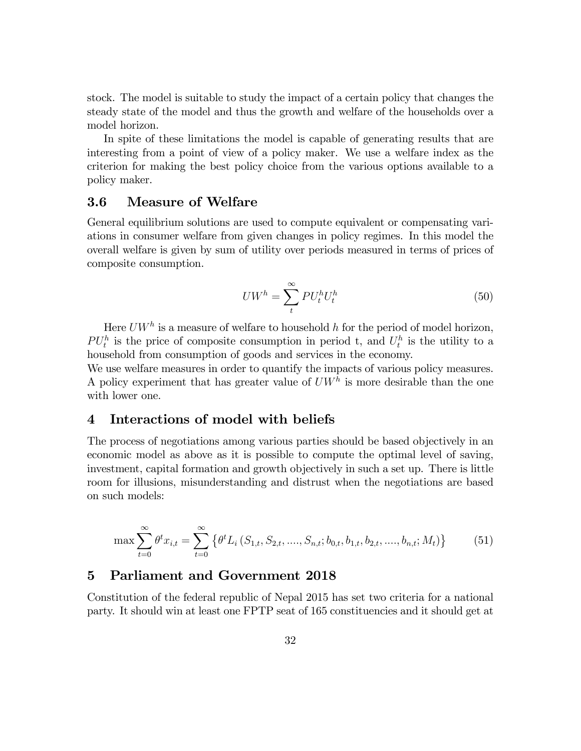stock. The model is suitable to study the impact of a certain policy that changes the steady state of the model and thus the growth and welfare of the households over a model horizon.

In spite of these limitations the model is capable of generating results that are interesting from a point of view of a policy maker. We use a welfare index as the criterion for making the best policy choice from the various options available to a policy maker.

## 3.6 Measure of Welfare

General equilibrium solutions are used to compute equivalent or compensating variations in consumer welfare from given changes in policy regimes. In this model the overall welfare is given by sum of utility over periods measured in terms of prices of composite consumption.

$$
U W^h = \sum_{t}^{\infty} P U_t^h U_t^h \tag{50}
$$

Here  $U W^h$  is a measure of welfare to household h for the period of model horizon,  $PU_t^h$  is the price of composite consumption in period t, and  $U_t^h$  is the utility to a household from consumption of goods and services in the economy.

We use welfare measures in order to quantify the impacts of various policy measures. A policy experiment that has greater value of  $U W<sup>h</sup>$  is more desirable than the one with lower one.

# 4 Interactions of model with beliefs

The process of negotiations among various parties should be based objectively in an economic model as above as it is possible to compute the optimal level of saving, investment, capital formation and growth objectively in such a set up. There is little room for illusions, misunderstanding and distrust when the negotiations are based on such models:

$$
\max \sum_{t=0}^{\infty} \theta^t x_{i,t} = \sum_{t=0}^{\infty} \left\{ \theta^t L_i \left( S_{1,t}, S_{2,t}, \dots, S_{n,t}; b_{0,t}, b_{1,t}, b_{2,t}, \dots, b_{n,t}; M_t \right) \right\} \tag{51}
$$

## 5 Parliament and Government 2018

Constitution of the federal republic of Nepal 2015 has set two criteria for a national party. It should win at least one FPTP seat of 165 constituencies and it should get at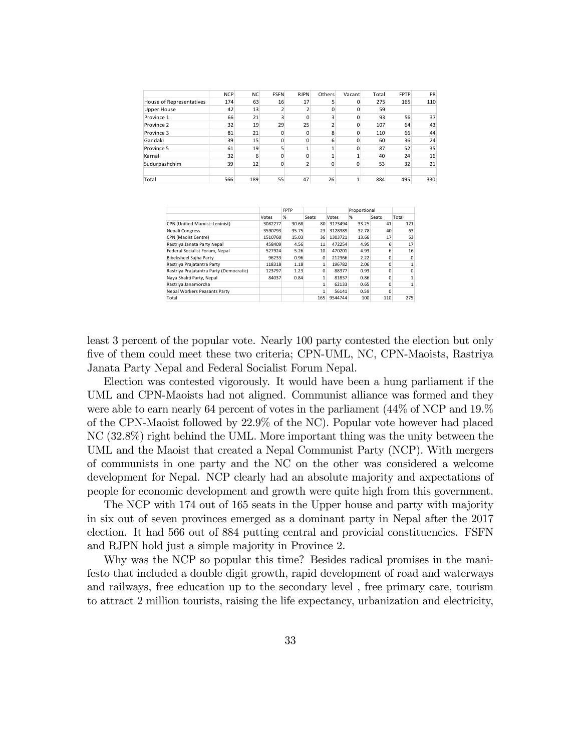|                          | <b>NCP</b> | <b>NC</b> | <b>FSFN</b> | <b>RJPN</b>  | Others                  | Vacant   | Total | <b>FPTP</b> | PR  |
|--------------------------|------------|-----------|-------------|--------------|-------------------------|----------|-------|-------------|-----|
| House of Representatives | 174        | 63        | 16          | 17           | 5                       | 0        | 275   | 165         | 110 |
| <b>Upper House</b>       | 42         | 13        |             |              | 0                       | Ω        | 59    |             |     |
| Province 1               | 66         | 21        |             | 0            | 3                       |          | 93    | 56          | 37  |
| Province 2               | 32         | 19        | 29          | 25           | $\overline{\mathbf{z}}$ | ŋ        | 107   | 64          | 43  |
| Province 3               | 81         | 21        | O           | $\Omega$     | 8                       | n        | 110   | 66          | 44  |
| Gandaki                  | 39         | 15        | $\Omega$    | $\Omega$     | 6                       |          | 60    | 36          | 24  |
| Province 5               | 61         | 19        | 5           | $\mathbf{1}$ | $\mathbf{1}$            | $\Omega$ | 87    | 52          | 35  |
| Karnali                  | 32         | 6         | 0           | $\Omega$     |                         |          | 40    | 24          | 16  |
| Sudurpashchim            | 39         | 12        | $\Omega$    | 2            | 0                       | $\Omega$ | 53    | 32          | 21  |
|                          |            |           |             |              |                         |          |       |             |     |
| Total                    | 566        | 189       | 55          | 47           | 26                      |          | 884   | 495         | 330 |

|                                         |         | <b>FPTP</b> |          |         | Proportional |       |          |
|-----------------------------------------|---------|-------------|----------|---------|--------------|-------|----------|
|                                         | Votes   | %           | Seats    | Votes   | %            | Seats | Total    |
| CPN (Unified Marxist-Leninist)          | 3082277 | 30.68       | 80       | 3173494 | 33.25        | 41    | 121      |
| Nepali Congress                         | 3590793 | 35.75       | 23       | 3128389 | 32.78        | 40    | 63       |
| CPN (Maoist Centre)                     | 1510760 | 15.03       | 36       | 1303721 | 13.66        | 17    | 53       |
| Rastriya Janata Party Nepal             | 458409  | 4.56        | 11       | 472254  | 4.95         | 6     | 17       |
| Federal Socialist Forum, Nepal          | 527924  | 5.26        | 10       | 470201  | 4.93         |       | 16       |
| Bibeksheel Sajha Party                  | 96233   | 0.96        | 0        | 212366  | 2.22         |       | $\Omega$ |
| Rastriya Prajatantra Party              | 118318  | 1.18        | 1        | 196782  | 2.06         | O     |          |
| Rastriya Prajatantra Party (Democratic) | 123797  | 1.23        | $\Omega$ | 88377   | 0.93         |       | O        |
| Naya Shakti Party, Nepal                | 84037   | 0.84        |          | 81837   | 0.86         |       |          |
| Rastriya Janamorcha                     |         |             | 1        | 62133   | 0.65         | n     |          |
| Nepal Workers Peasants Party            |         |             |          | 56141   | 0.59         |       |          |
| Total                                   |         |             | 165      | 9544744 | 100          | 110   | 275      |

least 3 percent of the popular vote. Nearly 100 party contested the election but only Öve of them could meet these two criteria; CPN-UML, NC, CPN-Maoists, Rastriya Janata Party Nepal and Federal Socialist Forum Nepal.

Election was contested vigorously. It would have been a hung parliament if the UML and CPN-Maoists had not aligned. Communist alliance was formed and they were able to earn nearly 64 percent of votes in the parliament (44% of NCP and 19.% of the CPN-Maoist followed by 22.9% of the NC). Popular vote however had placed NC (32.8%) right behind the UML. More important thing was the unity between the UML and the Maoist that created a Nepal Communist Party (NCP). With mergers of communists in one party and the NC on the other was considered a welcome development for Nepal. NCP clearly had an absolute majority and axpectations of people for economic development and growth were quite high from this government.

The NCP with 174 out of 165 seats in the Upper house and party with majority in six out of seven provinces emerged as a dominant party in Nepal after the 2017 election. It had 566 out of 884 putting central and provicial constituencies. FSFN and RJPN hold just a simple majority in Province 2.

Why was the NCP so popular this time? Besides radical promises in the manifesto that included a double digit growth, rapid development of road and waterways and railways, free education up to the secondary level , free primary care, tourism to attract 2 million tourists, raising the life expectancy, urbanization and electricity,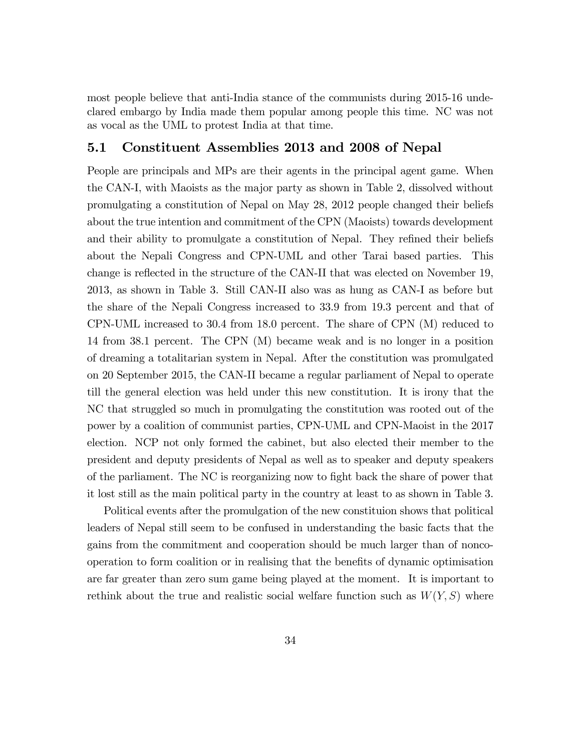most people believe that anti-India stance of the communists during 2015-16 undeclared embargo by India made them popular among people this time. NC was not as vocal as the UML to protest India at that time.

## 5.1 Constituent Assemblies 2013 and 2008 of Nepal

People are principals and MPs are their agents in the principal agent game. When the CAN-I, with Maoists as the major party as shown in Table 2, dissolved without promulgating a constitution of Nepal on May 28, 2012 people changed their beliefs about the true intention and commitment of the CPN (Maoists) towards development and their ability to promulgate a constitution of Nepal. They refined their beliefs about the Nepali Congress and CPN-UML and other Tarai based parties. This change is reflected in the structure of the CAN-II that was elected on November 19, 2013, as shown in Table 3. Still CAN-II also was as hung as CAN-I as before but the share of the Nepali Congress increased to 33.9 from 19.3 percent and that of CPN-UML increased to 30.4 from 18.0 percent. The share of CPN (M) reduced to 14 from 38.1 percent. The CPN (M) became weak and is no longer in a position of dreaming a totalitarian system in Nepal. After the constitution was promulgated on 20 September 2015, the CAN-II became a regular parliament of Nepal to operate till the general election was held under this new constitution. It is irony that the NC that struggled so much in promulgating the constitution was rooted out of the power by a coalition of communist parties, CPN-UML and CPN-Maoist in the 2017 election. NCP not only formed the cabinet, but also elected their member to the president and deputy presidents of Nepal as well as to speaker and deputy speakers of the parliament. The NC is reorganizing now to fight back the share of power that it lost still as the main political party in the country at least to as shown in Table 3.

Political events after the promulgation of the new constituion shows that political leaders of Nepal still seem to be confused in understanding the basic facts that the gains from the commitment and cooperation should be much larger than of noncooperation to form coalition or in realising that the benefits of dynamic optimisation are far greater than zero sum game being played at the moment. It is important to rethink about the true and realistic social welfare function such as  $W(Y, S)$  where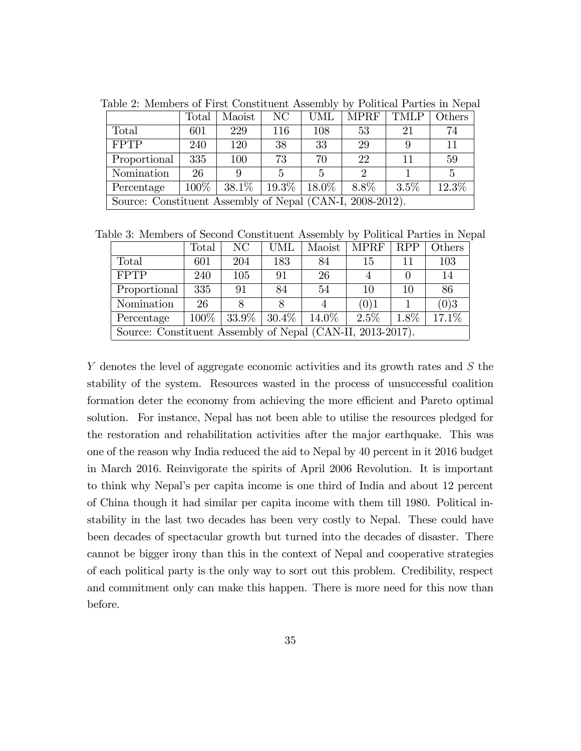|                                                           | Total   | Maoist | NC                             | <b>UML</b> | <b>MPRF</b>                 | <b>TMLP</b> | Others |  |  |
|-----------------------------------------------------------|---------|--------|--------------------------------|------------|-----------------------------|-------------|--------|--|--|
| Total                                                     | 601     | 229    | 116                            | 108        | 53                          | 21          | 74     |  |  |
| <b>FPTP</b>                                               | 240     | 120    | 38                             | 33         | 29                          | 9           | 11     |  |  |
| Proportional                                              | 335     | 100    | 73                             | 70         | 22                          | 11          | 59     |  |  |
| Nomination                                                | 26      |        | 5                              | 5          | $\mathcal{D}_{\mathcal{L}}$ |             | 5      |  |  |
| Percentage                                                | $100\%$ |        | $38.1\%$   $19.3\%$   $18.0\%$ |            | $8.8\%$                     | $3.5\%$     | 12.3%  |  |  |
| Source: Constituent Assembly of Nepal (CAN-I, 2008-2012). |         |        |                                |            |                             |             |        |  |  |

Table 2: Members of First Constituent Assembly by Political Parties in Nepal

Table 3: Members of Second Constituent Assembly by Political Parties in Nepal

|                                                            | Total   | NC  | UML                 | Maoist   | MPRF    | <b>RPP</b> | Others |  |
|------------------------------------------------------------|---------|-----|---------------------|----------|---------|------------|--------|--|
| <b>Total</b>                                               | 601     | 204 | 183                 | 84       | 15      | 11         | 103    |  |
| <b>FPTP</b>                                                | 240     | 105 | 91                  | 26       |         |            | 14     |  |
| Proportional                                               | 335     | 91  | 84                  | 54       | 10      | 10         | 86     |  |
| Nomination                                                 | 26      |     |                     |          | (0)1    |            | (0)3   |  |
| Percentage                                                 | $100\%$ |     | $33.9\%$   $30.4\%$ | $14.0\%$ | $2.5\%$ | $1.8\%$    | 17.1%  |  |
| Source: Constituent Assembly of Nepal (CAN-II, 2013-2017). |         |     |                     |          |         |            |        |  |

Y denotes the level of aggregate economic activities and its growth rates and S the stability of the system. Resources wasted in the process of unsuccessful coalition formation deter the economy from achieving the more efficient and Pareto optimal solution. For instance, Nepal has not been able to utilise the resources pledged for the restoration and rehabilitation activities after the major earthquake. This was one of the reason why India reduced the aid to Nepal by 40 percent in it 2016 budget in March 2016. Reinvigorate the spirits of April 2006 Revolution. It is important to think why Nepalís per capita income is one third of India and about 12 percent of China though it had similar per capita income with them till 1980. Political instability in the last two decades has been very costly to Nepal. These could have been decades of spectacular growth but turned into the decades of disaster. There cannot be bigger irony than this in the context of Nepal and cooperative strategies of each political party is the only way to sort out this problem. Credibility, respect and commitment only can make this happen. There is more need for this now than before.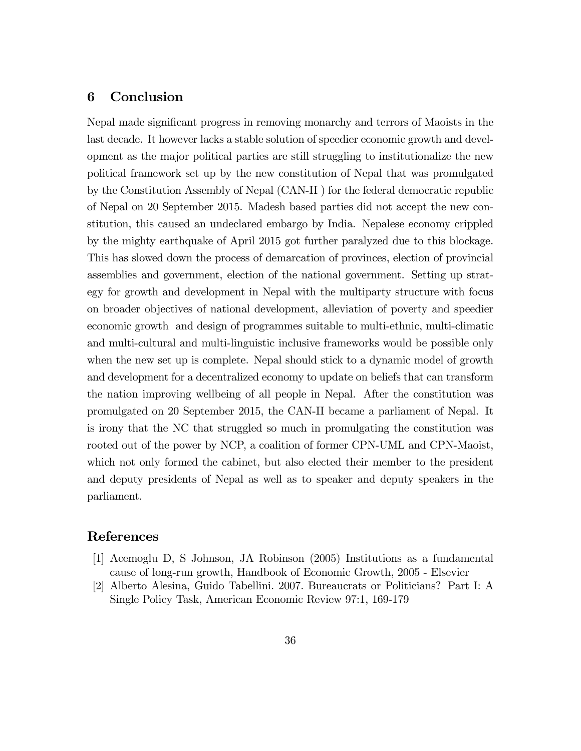## 6 Conclusion

Nepal made significant progress in removing monarchy and terrors of Maoists in the last decade. It however lacks a stable solution of speedier economic growth and development as the major political parties are still struggling to institutionalize the new political framework set up by the new constitution of Nepal that was promulgated by the Constitution Assembly of Nepal (CAN-II ) for the federal democratic republic of Nepal on 20 September 2015. Madesh based parties did not accept the new constitution, this caused an undeclared embargo by India. Nepalese economy crippled by the mighty earthquake of April 2015 got further paralyzed due to this blockage. This has slowed down the process of demarcation of provinces, election of provincial assemblies and government, election of the national government. Setting up strategy for growth and development in Nepal with the multiparty structure with focus on broader objectives of national development, alleviation of poverty and speedier economic growth and design of programmes suitable to multi-ethnic, multi-climatic and multi-cultural and multi-linguistic inclusive frameworks would be possible only when the new set up is complete. Nepal should stick to a dynamic model of growth and development for a decentralized economy to update on beliefs that can transform the nation improving wellbeing of all people in Nepal. After the constitution was promulgated on 20 September 2015, the CAN-II became a parliament of Nepal. It is irony that the NC that struggled so much in promulgating the constitution was rooted out of the power by NCP, a coalition of former CPN-UML and CPN-Maoist, which not only formed the cabinet, but also elected their member to the president and deputy presidents of Nepal as well as to speaker and deputy speakers in the parliament.

# References

- [1] Acemoglu D, S Johnson, JA Robinson (2005) Institutions as a fundamental cause of long-run growth, Handbook of Economic Growth, 2005 - Elsevier
- [2] Alberto Alesina, Guido Tabellini. 2007. Bureaucrats or Politicians? Part I: A Single Policy Task, American Economic Review 97:1, 169-179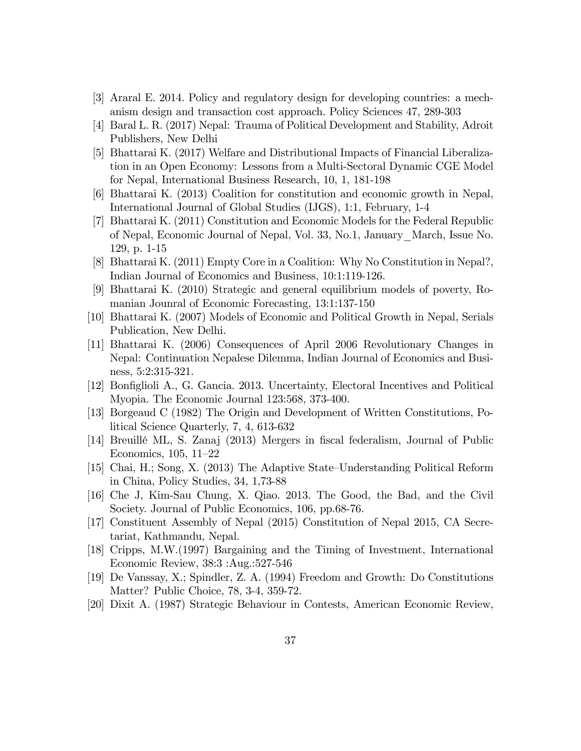- [3] Araral E. 2014. Policy and regulatory design for developing countries: a mechanism design and transaction cost approach. Policy Sciences 47, 289-303
- [4] Baral L. R. (2017) Nepal: Trauma of Political Development and Stability, Adroit Publishers, New Delhi
- [5] Bhattarai K. (2017) Welfare and Distributional Impacts of Financial Liberalization in an Open Economy: Lessons from a Multi-Sectoral Dynamic CGE Model for Nepal, International Business Research, 10, 1, 181-198
- [6] Bhattarai K. (2013) Coalition for constitution and economic growth in Nepal, International Journal of Global Studies (IJGS), 1:1, February, 1-4
- [7] Bhattarai K. (2011) Constitution and Economic Models for the Federal Republic of Nepal, Economic Journal of Nepal, Vol. 33, No.1, January\_March, Issue No. 129, p. 1-15
- [8] Bhattarai K. (2011) Empty Core in a Coalition: Why No Constitution in Nepal?, Indian Journal of Economics and Business, 10:1:119-126.
- [9] Bhattarai K. (2010) Strategic and general equilibrium models of poverty, Romanian Jounral of Economic Forecasting, 13:1:137-150
- [10] Bhattarai K. (2007) Models of Economic and Political Growth in Nepal, Serials Publication, New Delhi.
- [11] Bhattarai K. (2006) Consequences of April 2006 Revolutionary Changes in Nepal: Continuation Nepalese Dilemma, Indian Journal of Economics and Business, 5:2:315-321.
- [12] Bonfiglioli A., G. Gancia. 2013. Uncertainty, Electoral Incentives and Political Myopia. The Economic Journal 123:568, 373-400.
- [13] Borgeaud C (1982) The Origin and Development of Written Constitutions, Political Science Quarterly, 7, 4, 613-632
- [14] Breuillé ML, S. Zanaj (2013) Mergers in fiscal federalism, Journal of Public Economics,  $105, 11-22$
- [15] Chai, H.; Song, X. (2013) The Adaptive State–Understanding Political Reform in China, Policy Studies, 34, 1,73-88
- [16] Che J, Kim-Sau Chung, X. Qiao. 2013. The Good, the Bad, and the Civil Society. Journal of Public Economics, 106, pp.68-76.
- [17] Constituent Assembly of Nepal (2015) Constitution of Nepal 2015, CA Secretariat, Kathmandu, Nepal.
- [18] Cripps, M.W.(1997) Bargaining and the Timing of Investment, International Economic Review, 38:3 :Aug.:527-546
- [19] De Vanssay, X.; Spindler, Z. A. (1994) Freedom and Growth: Do Constitutions Matter? Public Choice, 78, 3-4, 359-72.
- [20] Dixit A. (1987) Strategic Behaviour in Contests, American Economic Review,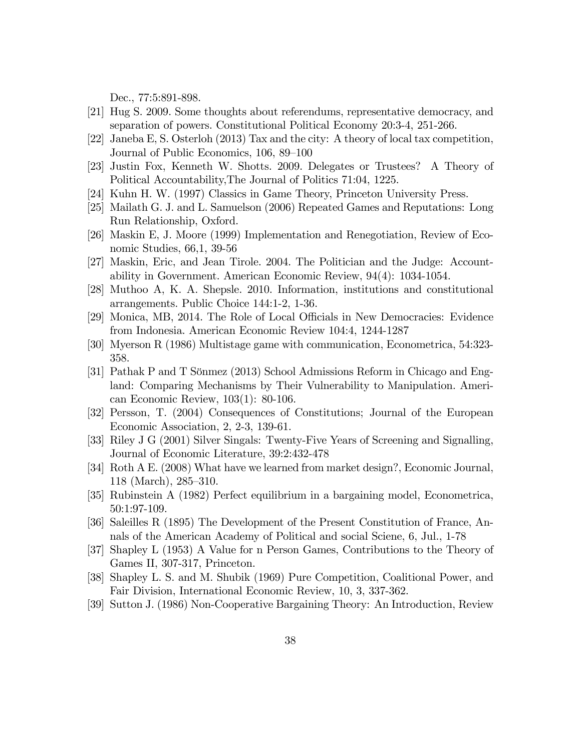Dec., 77:5:891-898.

- [21] Hug S. 2009. Some thoughts about referendums, representative democracy, and separation of powers. Constitutional Political Economy 20:3-4, 251-266.
- [22] Janeba E, S. Osterloh (2013) Tax and the city: A theory of local tax competition, Journal of Public Economics, 106, 89–100
- [23] Justin Fox, Kenneth W. Shotts. 2009. Delegates or Trustees? A Theory of Political Accountability,The Journal of Politics 71:04, 1225.
- [24] Kuhn H. W. (1997) Classics in Game Theory, Princeton University Press.
- [25] Mailath G. J. and L. Samuelson (2006) Repeated Games and Reputations: Long Run Relationship, Oxford.
- [26] Maskin E, J. Moore (1999) Implementation and Renegotiation, Review of Economic Studies, 66,1, 39-56
- [27] Maskin, Eric, and Jean Tirole. 2004. The Politician and the Judge: Accountability in Government. American Economic Review, 94(4): 1034-1054.
- [28] Muthoo A, K. A. Shepsle. 2010. Information, institutions and constitutional arrangements. Public Choice 144:1-2, 1-36.
- [29] Monica, MB, 2014. The Role of Local Officials in New Democracies: Evidence from Indonesia. American Economic Review 104:4, 1244-1287
- [30] Myerson R (1986) Multistage game with communication, Econometrica, 54:323- 358.
- [31] Pathak P and T Sönmez (2013) School Admissions Reform in Chicago and England: Comparing Mechanisms by Their Vulnerability to Manipulation. American Economic Review, 103(1): 80-106.
- [32] Persson, T. (2004) Consequences of Constitutions; Journal of the European Economic Association, 2, 2-3, 139-61.
- [33] Riley J G (2001) Silver Singals: Twenty-Five Years of Screening and Signalling, Journal of Economic Literature, 39:2:432-478
- [34] Roth A E. (2008) What have we learned from market design?, Economic Journal,  $118$  (March),  $285-310$ .
- [35] Rubinstein A (1982) Perfect equilibrium in a bargaining model, Econometrica, 50:1:97-109.
- [36] Saleilles R (1895) The Development of the Present Constitution of France, Annals of the American Academy of Political and social Sciene, 6, Jul., 1-78
- [37] Shapley L (1953) A Value for n Person Games, Contributions to the Theory of Games II, 307-317, Princeton.
- [38] Shapley L. S. and M. Shubik (1969) Pure Competition, Coalitional Power, and Fair Division, International Economic Review, 10, 3, 337-362.
- [39] Sutton J. (1986) Non-Cooperative Bargaining Theory: An Introduction, Review